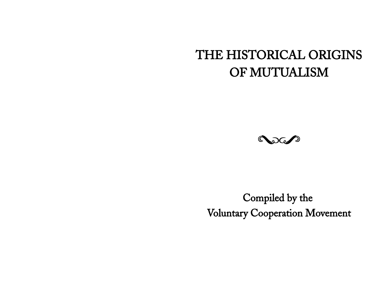# THE HISTORICAL ORIGINS OF MUTUALISM



Compiled by the Voluntary Cooperation Movement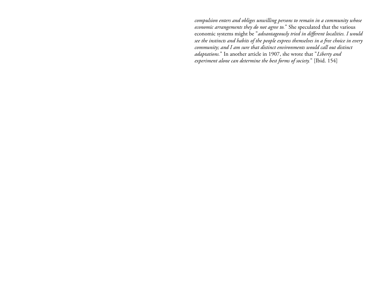*compulsion enters and obliges unwilling persons to remain in a community whose economic arrangements they do not agree to.*" She speculated that the various economic systems might be "*advantageously tried in different localities. I would see the instincts and habits of the people express themselves in a free choice in every community; and I am sure that distinct environments would call out distinct adaptations.*" In another article in 1907, she wrote that "*Liberty and experiment alone can determine the best forms of society.*" [Ibid. 154]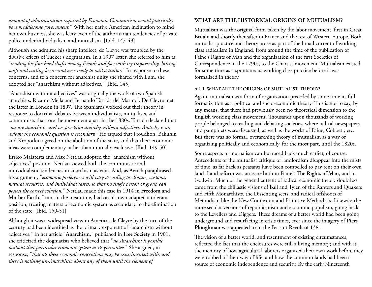*amount of administration required by Economic Communism would practically be a meddlesome government.*" With her native American inclination to mind her own business, she was leery even of the authoritarian tendencies of private police under individualism and mutualism. [Ibid. 147-49]

Although she admired his sharp intellect, de Cleyre was troubled by the divisive effects of Tucker's dogmatism. In a 1907 letter, she referred to him as "*sending his fine hard shafts among friends and foes with icy impartiality, hitting swift and cutting keen--and ever ready to nail a traitor.*" In response to these concerns, and to a concern for anarchist unity she shared with Lum, she adopted her "anarchism without adjectives." [Ibid. 145]

"Anarchism without adjectives" was originally the work of two Spanish anarchists, Ricardo Mella and Fernando Tarrida del Marmol. De Cleyre met the latter in London in 1897. The Spaniards worked out their theory in response to doctrinal debates between individualists, mutualists, and communists that tore the movement apart in the 1880s. Tarrida declared that *"we are anarchists, and we proclaim anarchy without adjectives. Anarchy is an axiom; the economic question is secondary."* He argued that Proudhon, Bakunin and Kropotkin agreed on the abolition of the state, and that their economic ideas were complementary rather than mutually exclusive. [Ibid. 149-50]

Errico Malatesta and Max Nettlau adopted the "anarchism without adjectives" position. Nettlau viewed both the communistic and individualistic tendencies in anarchism as vital. And, as Avrich paraphrased his argument, "*economic preferences will vary according to climate, customs, natural resources, and individual tastes, so that no single person or group can possess the correct solution.*" Nettlau made this case in 1914 in **Freedom** and **Mother Earth.** Lum, in the meantime, had on his own adapted a tolerant position, treating matters of economic system as secondary to the elimination of the state. [Ibid. 150-51]

Although it was a widespread view in America, de Cleyre by the turn of the century had been identified as the primary exponent of "anarchism without adjectives." In her article "**Anarchism,**" published in **Free Society** in 1901, she criticized the dogmatists who believed that "*no Anarchism is possible without that particular economic system as its guarantee.*" She argued, in response, "*that all these economic conceptions may be experimented with, and there is nothing un-Anarchistic about any of them until the element of* 

#### **WHAT ARE THE HISTORICAL ORIGINS OF MUTUALISM?**

Mutualism was the original form taken by the labor movement, first in Great Britain and shortly thereafter in France and the rest of Western Europe. Both mutualist practice and theory arose as part of the broad current of working class radicalism in England, from around the time of the publication of Paine's Rights of Man and the organization of the first Societies of Correspondence in the 1790s, to the Chartist movement. Mutualism existed for some time as a spontaneous working class practice before it was formalized in theory.

#### **A.1.1. WHAT ARE THE ORIGINS OF MUTUALIST THEORY?**

Again, mutualism as a form of organization preceded by some time its full formalization as a political and socio-economic theory. This is not to say, by any means, that there had previously been no theoretical dimension to the English working class movement. Thousands upon thousands of working people belonged to reading and debating societies, where radical newspapers and pamphlets were discussed, as well as the works of Paine, Cobbett, etc. But there was no formal, overarching theory of mutualism as a way of organizing politically and economically, for the most part, until the 1820s.

Some aspects of mutualism can be traced back much earlier, of course. Antecedents of the mutualist critique of landlordism disappear into the mists of time, as far back as peasants have been compelled to pay rent on their own land. Land reform was an issue both in Paine's **The Rights of Man**, and in Godwin. Much of the general current of radical economic theory doubtless came from the chiliastic visions of Ball and Tyler, of the Ranters and Quakers and Fifth Monarchists, the Dissenting sects, and radical offshoots of Methodism like the New Connexion and Primitive Methodists. Likewise the more secular versions of republicanism and economic populism, going back to the Levellers and Diggers. These dreams of a better world had been going underground and resurfacing in crisis times, ever since the imagery of **Piers Ploughman** was appealed to in the Peasant Revolt of 1381.

The vision of a better world, and resentment of existing circumstances, reflected the fact that the enclosures were still a living memory; and with it, the memory of how agriculural laborers organized their own work before they were robbed of their way of life, and how the common lands had been a source of economic independence and security. By the early Nineteenth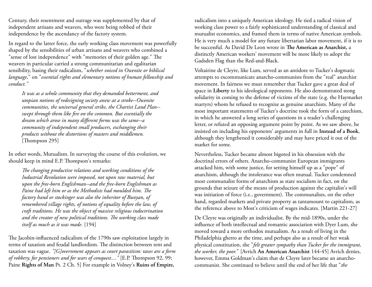Century, their resentment and outrage was supplemented by that of independent artisans and weavers, who were being robbed of their independence by the ascendancy of the factory system.

In regard to the latter force, the early working class movement was powerfully shaped by the sensibilities of urban artisans and weavers who combined a "sense of lost independence" with "memories of their golden age." The weavers in particular carried a strong communitarian and egalitarian sensibility, basing their radicalism, "*whether voiced in Owenite or biblical language*," on "*essential rights and elementary notions of human fellowship and conduct."*

*It was as a whole community that they demanded betterment, and utopian notions of redesigning society anew at a stroke--Owenite communities, the universal general strike, the Chartist Land Plan- swept through them like fire on the common. But essentially the dream which arose in many different forms was the same--a community of independent small producers, exchanging their products without the distortions of masters and middlemen.* [Thompson 295]

In other words, Mutualism. In surveying the course of this evolution, we should keep in mind E.P. Thompson's remarks:

*The changing productive relations and working conditions of the Industrial Revolution were imposed, not upon raw material, but upon the free-born Englishman--and the free-born Englishman as Paine had left him or as the Methodists had moulded him. The factory hand or stockinger was also the inheritor of Bunyan, of remembered village rights, of notions of equality before the law, of craft traditions. He was the object of massive religious indoctrination and the creator of new political traditions. The working class made itself as much as it was made.* [194]

The Jacobin-influenced radicalism of the 1790s saw exploitation largely in terms of taxation and feudal landlordism. The distinction between rent and taxation was vague. *"[G]overnment appears as court parasitism: taxes are a form of robbery, for pensioners and for wars of conquest...."* [E.P. Thompson 92, 99; Paine **Rights of Man** Pt. 2 Ch. 5] For example in Volney's **Ruins of Empire,**

radicalism into a uniquely American ideology. He tied a radical vision of working class power to a fairly sophisticated understanding of classical and mutualist economics, and framed them in terms of native American symbols. He is very much a model for any future libertarian labor movement, if it is to be successful. As David De Leon wrote in **The American as Anarchist,** a distinctly American workers' movement will be more likely to adopt the Gadsden Flag than the Red-and-Black.

Voltairine de Cleyre, like Lum, served as an antidote to Tucker's dogmatic attempts to excommunicate anarcho-communists from the "real" anarchist movement. In fairness we must remember that Tucker gave a great deal of space in **Liberty** to his ideological opponents. He also demonstrated stong solidarity in coming to the defense of victims of the state (e.g. the Haymarket martyrs) whom he refused to recognize as genuine anarchists. Many of the most important statements of Tucker's doctrine took the form of a catechism, in which he answered a long series of questions in a reader's challenging letter, or refuted an opposing argument point by point. As we saw above, he insisted on including his opponents' arguments in full in **Instead of a Book**, although they lengthened it considerably and may have priced it out of the market for some.

Nevertheless, Tucker became almost bigoted in his obsession with the doctrinal errors of others. Anarcho-communist European immigrants attacked him, with some justice, for setting himself up as a "pope" of anarchism, although the intolerance was often mutual. Tucker condemned most communalist forms of anarchism as state socialism in fact, on the grounds that seizure of the means of production against the capitalist's will was initiation of force (i.e., government). The communalists, on the other hand, regarded markets and private property as tantamount to capitalism, as the reference above to Most's criticism of wages indicates. [Martin 221-27]

De Cleyre was originally an individualist. By the mid-1890s, under the influence of both intellectual and romantic association with Dyer Lum, she moved toward a more orthodox mutualism. As a result of living in the Philadelphia ghetto at the time, and perhaps also as a result of her weak physical constitution, she "*felt greater sympathy than Tucker for the immigrant, the worker, the poor.*" [Avrich **An American Anarchist** 144-45] Avrich denies, however, Emma Goldman's claim that de Cleyre later became an anarchocommunist. She continued to believe until the end of her life that "*the*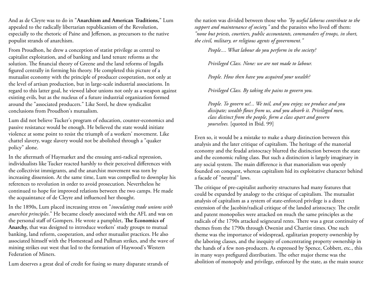And as de Cleyre was to do in "**Anarchism and American Traditions,**" Lum appealed to the radically libertarian republicanism of the Revolution, especially to the rhetoric of Paine and Jefferson, as precursors to the native populist strands of anarchism.

From Proudhon, he drew a conception of statist privilege as central to capitalist exploitation, and of banking and land tenure reforms as the solution. The financial theory of Greene and the land reforms of Ingalls figured centrally in forming his theory. He completed this picture of a mutualist economy with the principle of producer cooperation, not only at the level of artisan production, but in large-scale industrial associations. In regard to this latter goal, he viewed labor unions not only as a weapon against existing evils, but as the nucleus of a future industrial organization formed around the "associated producers." Like Sorel, he drew syndicalist conclusions from Proudhon's mutualism.

Lum did not believe Tucker's program of education, counter-economics and passive resistance would be enough. He believed the state would initiate violence at some point to resist the triumph of a workers' movement. Like chattel slavery, wage slavery would not be abolished through a "quaker policy" alone.

In the aftermath of Haymarket and the ensuing anti-radical repression, individualists like Tucker reacted harshly to their perceived differences with the collectivist immigrants, and the anarchist movement was torn by increasing dissension. At the same time, Lum was compelled to downplay his references to revolution in order to avoid prosecution. Nevertheless he continued to hope for improved relations between the two camps. He made the acquaintance of de Cleyre and influenced her thought.

In the 1890s, Lum placed increasing stress on "*inoculating trade unions with anarchist principles*." He became closely associated with the AFL and was on the personal staff of Gompers. He wrote a pamphlet, **The Economics of Anarchy,** that was designed to introduce workers' study groups to mutual banking, land reform, cooperation, and other mutualist practices. He also associated himself with the Homestead and Pullman strikes, and the wave of mining strikes out west that led to the formation of Haywood's Western Federation of Miners.

Lum deserves a great deal of credit for fusing so many disparate strands of

the nation was divided between those who *"by useful laborus contribute to the support and maintenance of society,"* and the parasites who lived off them: *"none but priests, courtiers, public accountants, commanders of troops, in short, the civil, military, or religious agents of government."*

*People.... What labour do you perform in the society?*

*Privileged Class. None: we are not made to labour.*

*People. How then have you acquired your wealth?*

*Privileged Class. By taking the pains to govern you.*

*People. To govern us!... We toil, and you enjoy; we produce and you dissipate; wealth flows from us, and you absorb it. Privileged men, class distinct from the people, form a class apart and govern yourselves.* [quoted in Ibid. 99]

Even so, it would be a mistake to make a sharp distinction between this analysis and the later critique of capitalism. The heritage of the manorial economy and the feudal aristocracy blurred the distinction between the state and the economic ruling class. But such a distinction is largely imaginary in any social system. The main difference is that manorialism was openly founded on conquest, whereas capitalism hid its exploitative character behind a facade of "neutral" laws.

The critique of pre-capitalist authority structures had many features that could be expanded by analogy to the critique of capitalism. The mutualist analysis of capitalism as a system of state-enforced privilege is a direct extension of the Jacobin/radical critique of the landed aristocracy. The credit and patent monopolies were attacked on much the same principles as the radicals of the 1790s attacked seigneural rents. There was a great continuity of themes from the 1790s through Owenist and Chartist times. One such theme was the importance of widespread, egalitarian property ownership by the laboring classes, and the inequity of concentrating property ownership in the hands of a few non-producers. As expressed by Spence, Cobbett, etc., this in many ways prefigured distributism. The other major theme was the abolition of monopoly and privilege, enforced by the state, as the main source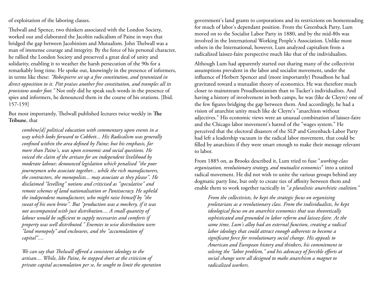of exploitation of the laboring classes.

Thelwall and Spence, two thinkers associated with the London Society, worked out and elaborated the Jacobin radicalism of Paine in ways that bridged the gap between Jacobinism and Mutualism. John Thelwall was a man of immense courage and integrity. By the force of his personal character, he rallied the London Society and preserved a great deal of unity and solidarity, enabling it to weather the harsh persecution of the 90s for a remarkably long time. He spoke out, knowingly in the presence of informers, in terms like these: *"Robespierre set up a free constitution, and tyrannized in direct opposition to it. Pitt praises another free constitution, and tramples all its provisions under foot."* Not only did he speak such words in the presence of spies and informers, he denounced them in the course of his orations. [Ibid. 157-159]

But most importantly, Thelwall published lectures twice weekly in **The Tribune**, that

*combine[d] political education with commentary upon events in a way which looks forward to Cobbett... His Radicalism was generally confined within the area defined by Paine; but his emphasis, far more than Paine's, was upon economic and social questions. He voiced the claim of the artisan for an independent livelihood by moderate labour; denounced legislation which penalised "the poor journeymen who associate together... while the rich manufacturers, the contractors, the monopolists... may associate as they please". He disclaimed "levelling" notions and criticised as "speculative" and remote schemes of land nationalisation or Pantisocracy. He upheld the independent manufacturer, who might raise himself by "the sweat of his own brow". But "production was a mockery, if it was not accompanied with just distribution.... A small quantity of labour would be sufficient to supply necessaries and comforts if property was well distributed." Enemies to wise distribution were "land monopoly" and enclosures, and the "accumulation of capital"....*

*We can say that Thelwall offered a consistent ideology to the artisan.... While, like Paine, he stopped short at the criticism of private capital accumulation per se, he sought to limit the operation*  government's land grants to corporations and its restrictions on homesteading for much of labor's dependant position. From the Greenback Party, Lum moved on to the Socialist Labor Party in 1880, and by the mid-80s was involved in the International Working People's Association. Unlike most others in the International, however, Lum analyzed capitalism from a radicalized laissez-faire perspective much like that of the individualists.

Although Lum had apparently started out sharing many of the collectivist assumptions prevalent in the labor and socialist movement, under the influence of Herbert Spencer and (more importantly) Proudhon he had gravitated toward a mutualist theory of economics. He was therefore much closer to mainstream Proudhonianism than to Tucker's individualists. And having a history of involvement in both camps, he was (like de Cleyre) one of the few figures bridging the gap between them. And accordingly, he had a vision of anarchist unity much like de Cleyre's "anarchism without adjectives." His economic views were an unusual combination of laissez-faire and the Chicago labor movement's hatred of the "wages system." He perceived that the electoral disasters of the SLP and Greenback-Labor Party had left a leadership vacuum in the radical labor movement, that could be filled by anarchists if they were smart enough to make their message relevant to labor.

From 1885 on, as Brooks described it, Lum tried to fuse "*working-class organization, revolutionary strategy, and mutualist economics*" into a united radical movement. He did not wish to unite the various groups behind any dogmatic party line, but only to create ties of affinity between them and enable them to work together tactically in "*a pluralistic anarchistic coalition.*"

*From the collectivists, he kept the strategic focus on organizing proletarians as a revolutionary class. From the individualists, he kept ideological focus on an anarchist economics that was theoretically sophisticated and grounded in labor reform and laissez-faire. At the same time, Lum's alloy had an external function, creating a radical labor ideology that could attract enough adherents to become a significant force for revolutionary social change. His appeals to American and European history and thinkers, his commitment to solving the "labor problem," and his advocacy of forcible efforts at social change were all designed to make anarchism a magnet to radicalized workers.*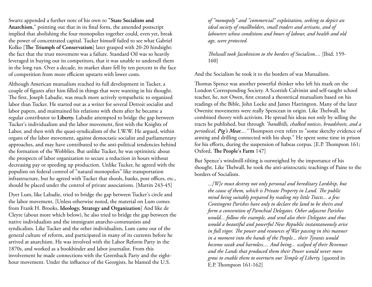Swartz appended a further note of his own to **"State Socialism and Anarchism**," pointing out that in its final form, the amended postscript implied that abolishing the four monopolies together could, even yet, break the power of concentrated capital. Tucker himself failed to see what Gabriel Kolko [**The Triumph of Conservatism**] later grasped with 20-20 hindsight: the fact that the trust movement was a failure. Standard Oil was so heavily leveraged in buying out its competitors, that it was unable to undersell them in the long run. Over a decade, its market share fell by ten percent in the face of competition from more efficient upstarts with lower costs.

Although American mutualism reached its full development in Tucker, a couple of figures after him filled in things that were wanting in his thought. The first, Joseph Labadie, was much more actively sympathetic to organized labor than Tucker. He started out as a writer for several Detroit socialist and labor papers, and maintained his relations with them after he became a regular contributor to **Liberty.** Labadie attempted to bridge the gap between Tucker's individualism and the labor movement, first with the Knights of Labor, and then with the quasi-syndicalism of the I.W.W. He argued, within organs of the labor movement, against democratic socialist and parliamentary approaches, and may have contributed to the anti-political tendencies behind the formation of the Wobblies. But unlike Tucker, he was optimistic about the prospects of labor organization to secure a reduction in hours without decreasing pay or speeding up production. Unlike Tucker, he agreed with the populists on federal control of "natural monopolies" like transportation infrastructure, but he agreed with Tucker that shools, banks, post offices, etc., should be placed under the control of private associations. [Martin 243-45]

Dyer Lum, like Labadie, tried to bridge the gap between Tucker's circle and the labor movement. [Unless otherwise noted, the material on Lum comes from Frank H. Brooks, **Ideology, Strategy and Organization**] And like de Cleyre (about more which below), he also tried to bridge the gap between the native individualists and the immigrant anarcho-communists and syndicalists. Like Tucker and the other individualists, Lum came out of the general culture of reform, and participated in many of its currents before he arrived at anarchism. He was involved with the Labor Reform Party in the 1870s, and worked as a bookbinder and labor journalist. From this involvement he made connections with the Greenback Party and the eighthour movement. Under the influence of the Georgists, he blamed the U.S.

*of "monopoly" and "commercial" exploitation, seeking to depict an ideal society of smallholders, small traders and artisans, and of labourers whose conditions and hours of labour, and health and old age, were protected.*

*Thelwall took Jacobinism to the borders of Socialism....* [Ibid. 159- 160]

And the Socialism he took it to the borders of was Mutualism.

Thomas Spence was another powerful thinker who left his mark on the London Corresponding Society. A Scottish Calvinist and self-taught school teacher, he, not Owen, first created a theoretical mutualism based on his readings of the Bible, John Locke and James Harrington. Many of the later Owenite movements were really Spencean in origin. Like Thelwall, he combined theory with activism. He spread his ideas not only by selling the tracts he published, but through *"handbills, chalked notices, broadsheets, and a periodical, Pig's Meat...."* Thompson even refers to "some sketchy evidence of arming and drilling connected with his shop." He spent some time in prison for his efforts, during the suspension of habeas corpus. [E.P. Thompson 161; Oxford, **The People's Farm** 147]

But Spence's windmill-tilting is outweighed by the importance of his thought. Like Thelwall, he took the anti-aristocratic teachings of Paine to the borders of Socialism.

*...[W]e must destroy not only personal and hereditary Lordship, but the cause of them, which is Private Property in Land. The public mind being suitably prepared by reading my little Tracts... a few Contingent Parishes have only to declare the land to be theirs and form a convention of Parochial Delegates. Other adjacent Parishes would... follow the example, and send also their Delegates and thus would a beautiful and powerful New Republic instantaneously arise in full vigor. The power and resources of War passing in this manner in a moment into the hands of the People... their Tyrants would become weak and harmless.... And being... scalped of their Revenues and the Lands that produced them their Power would never more grow to enable them to overturn our Temple of Liberty.* [quoted in E.P. Thompson 161-162]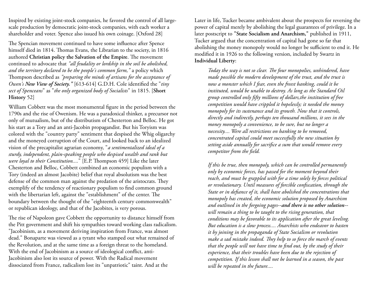Inspired by existing joint-stock companies, he favored the control of all largescale production by democratic joint-stock companies, with each worker a shareholder and voter. Spence also issued his own coinage. [Oxford 28]

The Spencian movement continued to have some influence after Spence himself died in 1814. Thomas Evans, the Librarian to the society, in 1816 authored **Christian policy the Salvation of the Empire**. The movement continued to advocate that *"all feudality or lordship in the soil be abolished, and the territory declared to be the people's common farm,"* a policy which Thompson described as *"preparing the minds of artisans for the acceptance of Owen's New View of Society."* [613-614] G.D.H. Cole identified the "*tiny sect of Spenceans*" as "*the only organized body of Socialists*" in 1815. [**Short History** 52]

William Cobbett was the most monumental figure in the period between the 1790s and the rise of Owenism. He was a paradoxical thinker, a precursor not only of mutualism, but of the distributism of Chesterton and Belloc. He got his start as a Tory and an anti-Jacobin propagandist. But his Toryism was colored with the "country party" sentiment that despised the Whig oligarchy and the moneyed corruption of the Court, and looked back to an idealized vision of the precapitalist agrarian economy, "*a sentimentalized ideal of a sturdy, independent, plain-speaking people who despised wealth and rank but were loyal to their Constitution....*" [E.P. Thompson 459] Like the later Chesterton and Belloc, Cobbett combined an economic populism with a Tory (indeed an almost Jacobite) belief that royal absolutism was the best defense of the common man against the predation of the aristocrats. They exemplify of the tendency of reactionary populism to find common ground with the libertarian left, against the "establishment" of the center. The boundary between the thought of the "eighteenth century commonwealth" or republican ideology, and that of the Jacobites, is very porous.

The rise of Napoleon gave Cobbett the opportunity to distance himself from the Pitt government and shift his sympathies toward working class radicalism. "Jacobinism, as a movement deriving inspiration from France, was almost dead." Bonaparte was viewed as a tyrant who stamped out what remained of the Revolution, and at the same time as a foreign threat to the homeland. With the end of Jacobinism as a source of ideological conflict, anti-Jacobinism also lost its source of power. With the Radical movement dissociated from France, radicalism lost its "unpatriotic" taint. And at the

Later in life, Tucker became ambivalent about the prospects for reversing the power of capital merely by abolishing the legal guarantees of privilege. In a later postscript to **"State Socialism and Anarchism,"** published in 1911, Tucker argued that the concentration of capital had gone so far that abolishing the money monopoly would no longer be sufficient to end it. He modified it in 1926 to the following version, included by Swartz in **Individual Liberty**:

*Today the way is not so clear. The four monopolies, unhindered, have made possible the modern development of the trust, and the trust is now a monster which I fear, even the freest banking, could it be instituted, would be unable to destroy. As long as the Standard Oil group controlled only fifty millions of dollars,the institution of free competition would have crippled it hopelessly; it needed the money monopoly for its sustenance and its growth. Now that it controls, directly and indirectly, perhaps ten thousand millions, it sees in the money monopoly a convenience, to be sure, but no longer a necessity.... Were all restrictions on banking to be removed, concentrated capital could meet successfully the new situation by setting aside annually for sacrifice a sum that would remove every competitor from the field.*

*If this be true, then monopoly, which can be controlled permanently only by economic forces, has passed for the moment beyond their reach, and must be grappled with for a time solely by forces political or revolutionary. Until measures of forcible confiscation, through the State or in defiance of it, shall have abolished the concentrations that monopoly has created, the economic solution proposed by Anarchism and outlined in the forgoing pages--and there is no other solution- will remain a thing to be taught to the rising generation, that conditions may be favorable to its application after the great leveling. But education is a slow process.... Anarchists who endeavor to hasten it by joining in the propaganda of State Socialism or revolution make a sad mistake indeed. They help to so force the march of events that the people will not have time to find out, by the study of their experience, that their troubles have been due to the rejection of competition. If this lesson shall not be learned in a season, the past will be repeated in the future....*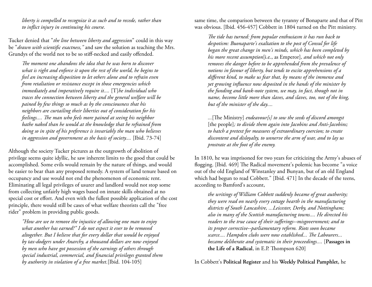*liberty is compelled to recognize it as such and to recede, rather than to inflict injury in continuing his course.*

Tucker denied that "*the line between liberty and aggression*" could in this way be "*drawn with scientific exactness,"* and saw the solution as teaching the Mrs. Grundys of the world not to be so stiff-necked and easily offended.

*The moment one abandons the idea that he was born to discover what is right and enforce it upon the rest of the world, he begins to feel an increasing disposition to let others alone and to refrain even from retaliation or resistance except in those emergencies which immediately and imperatively require it....* [T]*he individual who traces the connection between liberty and the general welfare will be pained by few things so much as by the consciousness that his neighbors are curtailing their liberties out of consideration for his feelings.... The man who feels more pained at seeing his neighbor bathe naked than he would at the knowledge that he refrained from doing so in spite of his preference is invariably the man who believes in aggression and government as the basis of society....* [Ibid. 73-74]

Although the society Tucker pictures as the outgrowth of abolition of privilege seems quite idyllic, he saw inherent limits to the good that could be accomplished. Some evils would remain by the nature of things, and would be easier to bear than any proposed remedy. A system of land tenure based on occupancy and use would not end the phenomenon of economic rent. Eliminating all legal privileges of usurer and landlord would not stop some from collecting unfairly high wages based on innate skills obtained at no special cost or effort. And even with the fullest possible application of the cost principle, there would still be cases of what welfare theorists call the "free rider" problem in providing public goods.

*"How are we to remove the injustice of allowing one man to enjoy what another has earned?" I do not expect it ever to be removed altogether. But I believe that for every dollar that would be enjoyed by tax-dodgers under Anarchy, a thousand dollars are now enjoyed by men who have got possession of the earnings of others through special industrial, commercial, and financial privileges granted them by authority in violation of a free market.*[Ibid. 104-105]

same time, the comparison between the tyranny of Bonaparte and that of Pitt was obvious. [Ibid. 456-457] Cobbett in 1804 turned on the Pitt ministry.

*The tide has turned: from popular enthusiasm it has run back to despotism: Buonaparte's exaltation to the post of Consul for life began the great change in men's minds, which has been completed by his more recent assumption*[i.e., as Emperor]*, and which not only removes the danger before to be apprehended from the prevalence of notions in favour of liberty, but tends to excite apprehensions of a different kind, to make us fear that, by means of the immense and yet growing influence now deposited in the hands of the minister by the funding and bank-note system, we may, in fact, though not in name, become little more than slaves, and slaves, too, not of the king, but of the minister of the day....*

*...*[The Ministry] *endeavour[s] to sow the seeds of discord amongst* [the people]*; to divide them again into Jacobins and Anti-Jacobins; to hatch a pretext for measures of extraordinary coercion; to create discontent and disloyalty, to unnerve the arm of war, and to lay us prostrate at the foot of the enemy.*

In 1810, he was imprisoned for two years for criticizing the Army's abuses of flogging. [Ibid. 469] The Radical movement's polemic has become "a voice out of the old England of Winstanley and Bunyan, but of an old England which had begun to read Cobbett." [Ibid. 471] In the decade of the teens, according to Bamford's account,

*the writings of William Cobbett suddenly became of great authority; they were read on nearly every cottage hearth in the manufacturing districts of South Lancashire, ...Leicester, Derby, and Nottingham; also in many of the Scottish manufacturing towns.... He directed his readers to the true cause of their sufferings--misgovernment; and to its proper corrective--parliamentary reform. Riots soon became scarce.... Hampden clubs were now established... The Labourers... became deliberate and systematic in their proceedings....* [**Passages in the Life of a Radical**, in E.P. Thompson 620]

In Cobbett's **Political Register** and his **Weekly Political Pamphlet,** he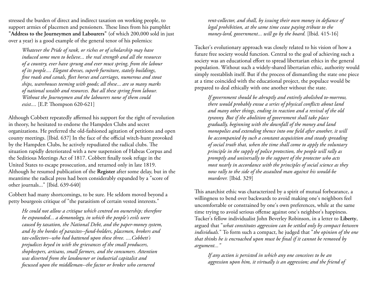stressed the burden of direct and indirect taxation on working people, to support armies of placemen and pensioners. These lines from his pamphlet **"Address to the Journeymen and Labourers"** (of which 200,000 sold in just over a year) is a good example of the general tenor of his polemics:

*Whatever the Pride of rank, or riches or of scholarship may have induced some men to believe... the real strength and all the resources of a country, ever have sprung and ever must spring, from the labour of its people.... Elegant dresses, superb furniture, stately buildings, fine roads and canals, fleet horses and carriages, numerous and stout ships, warehouses teeming with goods; all these... are so many marks of national wealth and resources. But all these spring from labour. Without the Journeymen and the labourers none of them could exist....* [E.P. Thompson 620-621]

Although Cobbett repeatedly affirmed his support for the right of revolution in theory, he hesitated to endorse the Hampden Clubs and secret organizations. He preferred the old-fashioned agitation of petitions and open county meetings. [Ibid. 637] In the face of the official witch-hunt provoked by the Hampden Clubs, he actively repudiated the radical clubs. The situation rapidly deteriorated with a new suspension of Habeas Corpus and the Seditious Meetings Act of 1817. Cobbett finally took refuge in the United States to escape prosecution, and returned only in late 1819. Although he resumed publication of the **Register** after some delay, but in the meantime the radical press had been considerably expanded by a "score of other journals..." [Ibid. 639-640]

Cobbett had many shortcomings, to be sure. He seldom moved beyond a petty bourgeois critique of "the parasitism of certain vested interests."

*He could not allow a critique which centred on ownership; therefore he expounded... a demonology, in which the people's evils were caused by taxation, the National Debt, and the paper-money system, and by the hordes of parasites--fund-holders, placemen, brokers and tax-collectors--who had battened upon these three. ....Cobbett's prejudices keyed in with the grievances of the small producers, shopkeepers, artisans, small farmers, and the consumers. Attention was diverted from the landowner or industrial capitalist and focussed upon the middleman--the factor or broker who cornered* 

*rent-collector, and shall, by issuing their own money in defiance of legal prohibition, at the same time cease paying tribute to the money-lord, government... will go by the board.* [Ibid. 415-16]

Tucker's evolutionary approach was closely related to his vision of how a future free society would function. Central to the goal of achieving such a society was an educational effort to spread libertarian ethics in the general population. Without such a widely-shared libertarian ethic, authority would simply reestablish itself. But if the process of dismantling the state one piece at a time coincided with the educational project, the populace would be prepared to deal ethically with one another without the state.

*If government should be abruptly and entirely abolished to-morrow, there would probably ensue a series of physical conflicts about land and many other things, ending in reaction and a revival of the old tyranny. But if the abolition of government shall take place gradually, beginning with the downfall of the money and land monopolies and extending thence into one field after another, it will be accompanied by such a constant acquisition and steady spreading of social truth that, when the time shall come to apply the voluntary principle in the supply of police protection, the people will rally as promptly and universally to the support of the protector who acts most nearly in accordance with the principles of social science as they now rally to the side of the assaulted man against his would-be murderer.* [Ibid. 329]

This anarchist ethic was characterized by a spirit of mutual forbearance, a willingness to bend over backwards to avoid making one's neighbors feel uncomfortable or constrained by one's own preferences, while at the same time trying to avoid serious offense against one's neighbor's happiness. Tucker's fellow individualist John Beverley Robinson, in a letter to **Liberty**, argued that "*what constitutes aggression can be settled only by compact between individuals.*" To form such a compact, he judged that "*the opinion of the one that thinks he is encroached upon must be final if it cannot be removed by argument..."*

*If any action is persisted in which any one conceives to be an aggression upon him, it virtually is an aggression; and the friend of*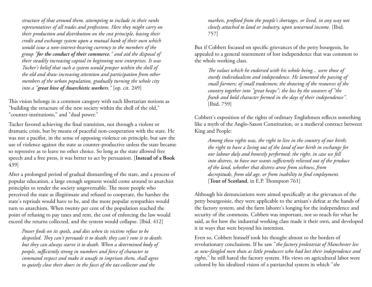*structure of that around them, attempting to include in their ranks representatives of all trades and professions. Here they might carry on their production and distribution on the cost principle, basing their credit and exchange system upon a mutual bank of their own which would issue a non-interest-bearing currency to the members of the group "for the conduct of their commerce," and aid the disposal of their steadily increasing capital in beginning new enterprises. It was Tucker's belief that such a system would prosper within the shell of the old and draw increasing attention and participation from other members of the urban population, gradually turning the whole city into a "great hive of Anarchistic workers."* [op. cit. 249]

This vision belongs in a common category with such libertarian notions as "building the structure of the new society within the shell of the old," "counter-institutions," and "dual power."

Tucker favored achieving the final transition, not through a violent or dramatic crisis, but by means of peaceful non-cooperation with the state. He was not a pacifist, in the sense of opposing violence on principle, but saw the use of violence against the state as counter-productive unless the state became so repressive as to leave no other choice. So long as the state allowed free speech and a free press, it was better to act by persuasion. [**Instead of a Book** 439]

After a prolonged period of gradual dismantling of the state, and a process of popular education, a large enough segment would come around to anarchist principles to render the society ungovernable. The more people who perceived the state as illegitimate and refused to cooperate, the harsher the state's reprisals would have to be, and the more popular sympathies would turn to anarchism. When twenty per cent of the population reached the point of refusing to pay taxes and rent, the cost of enforcing the law would exceed the returns collected, and the system would collapse. [Ibid. 412]

*Power feeds on its spoils, and dies when its victims refuse to be despoiled. They can't persuade it to death; they can't vote it to death; but they can always starve it to death. When a determined body of people, sufficiently strong in numbers and force of character to command respect and make it unsafe to imprison them, shall agree to quietly close their doors in the faces of the tax-collector and the* 

*markets, profited from the people's shortages, or lived, in any way not closely attached to land or industry, upon unearned income.* [Ibid. 757]

But if Cobbett focused on specific grievances of the petty bourgeois, he appealed to a general resentment of lost independence that was common to the whole working class.

*The values which he endorsed with his whole being... were those of sturdy individualism and independence. He lamented the passing of small farmers; of small tradesmen; the drawing of the resources of the country together into "great heaps"; the loss by the weavers of "the frank and bold character formed in the days of their independence".* [Ibid. 759]

Cobbett's exposition of the rights of ordinary Englishmen reflects something like a myth of the Anglo-Saxon Constitution, or a medieval contract between King and People:

*Among these rights was, the right to live in the country of our birth; the right to have a living out of the land of our birth in exchange for our labour duly and honestly performed; the right, in case we fell into distress, to have our wants sufficiently relieved out of the produce of the land, whether that distress arose from sickness, from decrepitude, from old age, or from inability to find employment.* [**Tour of Scotland**, in E.P. Thompson 761]

Although his denunciations were aimed specifically at the grievances of the petty bourgeoisie, they were applicable to the artisan's defeat at the hands of the factory system, and the farm laborer's longing for the independence and security of the commons. Cobbett was important, not so much for what he said, as for how the industrial working class made it their own, and developed it in ways that were beyond his intention.

Even so, Cobbett himself took his thought almost to the borders of revolutionary conclusions. If he saw "*the factory proletariat of Manchester less as new-fangled men than as little producers who had lost their independence and rights*," he still hated the factory system. His views on agricultural labor were colored by his idealized vision of a patriarchal system in which "*the*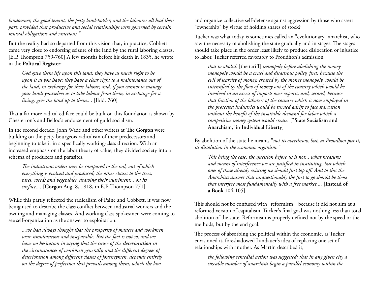*landowner, the good tenant, the petty land-holder, and the labourer all had their part, provided that productive and social relationships were governed by certain mutual obligations and sanctions."*

But the reality had so departed from this vision that, in practice, Cobbett came very close to endorsing seizure of the land by the rural laboring classes. [E.P. Thompson 759-760] A few months before his death in 1835, he wrote in the **Political Register:**

*God gave them life upon this land; they have as much right to be upon it as you have; they have a clear right to a maintenance out of the land, in exchange for their labour; and, if you cannot so manage your lands yourselves as to take labour from them, in exchange for a living, give the land up to them....* [Ibid. 760]

That a far more radical ediface could be built on this foundation is shown by Chesterton's and Belloc's endorsement of guild socialism.

In the second decade, John Wade and other writers at **The Gorgon** were building on the petty bourgeois radicalism of their predecessors and beginning to take it in a specifically working-class direction. With an increased emphasis on the labor theory of value, they divided society into a schema of producers and parasites.

*The industrious orders may be compared to the soil, out of which everything is evolved and produced; the other classes to the trees, tares, weeds and vegetables, drawing their nutriment... on its surface....* [**Gorgon** Aug. 8, 1818, in E.P. Thompson 771]

While this partly reflected the radicalism of Paine and Cobbett, it was now being used to describe the class conflict between industrial workers and the owning and managing classes. And working class spokesmen were coming to see self-organization as the answer to exploitation.

*...we had always thought that the prosperity of masters and workmen were simultaneous and inseparable. But the fact is not so, and we have no hesitation in saying that the cause of the deterioration in the circumstances of workmen generally, and the different degrees of deterioration among different classes of journeymen, depends entirely on the degree of perfection that prevails among them, which the law* 

and organize collective self-defense against aggression by those who assert "ownership" by virtue of holding shares of stock?

Tucker was what today is sometimes called an "evolutionary" anarchist, who saw the necessity of abolishing the state gradually and in stages. The stages should take place in the order least likely to produce dislocation or injustice to labor. Tucker referred favorably to Proudhon's admission

*that to abolish* [the tariff] *monopoly before abolishing the money monopoly would be a cruel and disastrous policy, first, because the evil of scarcity of money, created by the money monopoly, would be intensified by the flow of money out of the country which would be involved in an excess of imports over exports, and, second, because that fraction of the laborers of the country which is now employed in the protected industries would be turned adrift to face starvation without the benefit of the insatiable demand for labor which a competitive money system would create.* [**"State Socialism and Anarchism,"**in **Individual Liberty**]

By abolition of the state he meant, "*not its overthrow, but, as Proudhon put it, its dissolution in the economic organism."*

*This being the case, the question before us is not... what measures and means of interference we are justified in instituting, but which ones of those already existing we should first lop off. And to this the Anarchists answer that unquestionably the first to go should be those that interfere most fundamentally with a free market....* [**Instead of a Book** 104-105]

This should not be confused with "reformism," because it did not aim at a reformed version of capitalism. Tucker's final goal was nothing less than total abolition of the state. Reformism is properly defined not by the speed or the methods, but by the end goal.

The process of absorbing the political within the economic, as Tucker envisioned it, foreshadowed Landauer's idea of replacing one set of relationships with another. As Martin described it,

*the following remedial action was suggested; that in any given city a sizeable number of anarchists begin a parallel economy within the*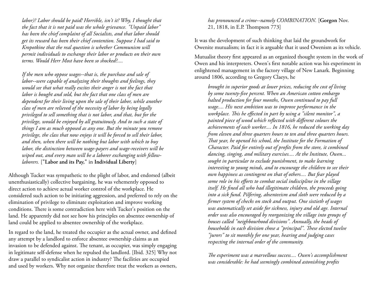*labor)? Labor should be paid! Horrible, isn't it? Why, I thought that the fact that it is not paid was the whole grievance. "Unpaid labor" has been the chief complaint of all Socialists, and that labor should get its reward has been their chief contention. Suppose I had said to Kropotkine that the real question is whether Communism will permit individuals to exchange their labor or products on their own terms. Would Herr Most have been so shocked?....*

*If the men who oppose wages--that is, the purchase and sale of labor--were capable of analyzing their thoughts and feelings, they would see that what really excites their anger is not the fact that labor is bought and sold, but the fact that one class of men are dependent for their living upon the sale of their labor, while another class of men are relieved of the necessity of labor by being legally privileged to sell something that is not labor, and that, but for the privilege, would be enjoyed by all gratuitously. And to such a state of things I am as much opposed as any one. But the minute you remove privilege, the class that now enjoys it will be forced to sell their labor, and then, when there will be nothing but labor with which to buy labor, the distinction between wage-payers and wage-receivers will be wiped out, and every man will be a laborer exchanging with fellowlaborers.* [**"Labor and its Pay,"** in **Individual Liberty**]

Although Tucker was sympathetic to the plight of labor, and endorsed (albeit unenthusiastically) collective bargaining, he was vehemently opposed to direct action to achieve actual worker control of the workplace. He considered such action to be initiating aggression, and preferred to rely on the elimination of privilege to eliminate exploitation and improve working conditions. There is some contradiction here with Tucker's position on the land. He apparently did not see how his principles on absentee ownership of land could be applied to absentee ownership of the workplace.

In regard to the land, he treated the occupier as the actual owner, and defined any attempt by a landlord to enforce absentee ownership claims as an invasion to be defended against. The tenant, as occupier, was simply engaging in legitimate self-defense when he repulsed the landlord. [Ibid. 325] Why not draw a parallel to syndicalist action in industry? The facilities are occupied and used by workers. Why not organize therefore treat the workers as owners, *has pronounced a crime--namely COMBINATION.* [**Gorgon** Nov. 21, 1818, in E.P. Thompson 773]

It was the development of such thinking that laid the groundwork for Owenite mutualism; in fact it is arguable that it used Owenism as its vehicle.

Mutualist theory first appeared as an organized thought system in the work of Owen and his interpreters. Owen's first notable action was his experiment in enlightened management in the factory village of New Lanark. Beginning around 1806, according to Gregory Claeys, he

*brought in superior goods at lower prices, reducing the cost of living by some twenty-five percent. When an American cotton embargo halted production for four months, Owen continued to pay full wage.... His next ambition was to improve performance in the workplace. This he effected in part by using a "silent monitor", a painted piece of wood which reflected with different colours the achievements of each worker.... In 1816, he reduced the working day from eleven and three quarters hours to ten and three quarters hours. That year, he opened his school, the Institute for the Formation of Character. Paid for entirely out of profits from the store, it combined dancing, singing, and military exercises.... At the Institute, Owen... sought in particular to exclude punishment, to make learning interesting to young minds, and to encourage the children to see their own happiness as contingent on that of others.... But fear played some role in his efforts to combat social indiscipline in the village itself. He fined all who had illegitimate children, the proceeds going into a sick fund. Pilfering, absenteeism and sloth were reduced by a firmer system of checks on stock and output. One sixtieth of wages was automatically set aside for sickness, injury and old age. Internal order was also encouraged by reorganizing the village into groups of houses called "neighbourhood divisions". Annually, the heads of households in each division chose a "principal". These elected twelve "jurors" to sit monthly for one year, hearing and judging cases respecting the internal order of the community.*

*The experiment was a marvellous success.... Owen's accomplishment was considerable: he had seemingly combined astonishing profits*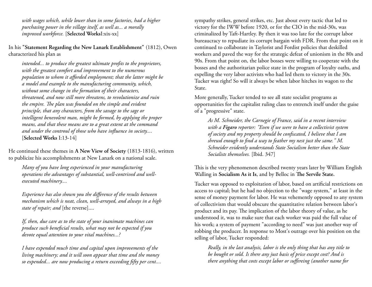*with wages which, while lower than in some factories, had a higher purchasing power in the village itself, as well as... a morally improved workforce.* [**Selected Works**I:xix-xx]

In his **"Statement Regarding the New Lanark Establishment"** (1812), Owen characterized his plan as

*intended... to produce the greatest ultimate profits to the proprietors, with the greatest comfort and improvement to the numerous population to whom it afforded employment; that the latter might be a model and example to the manufacturing community, which, without some change in the formation of their characters, threatened, and now still more threatens, to revolutionize and ruin the empire. The plan was founded on the simple and evident principle, that any characters, from the savage to the sage or intelligent benevolent man, might be formed, by applying the proper means, and that these means are to a great extent at the command and under the controul of those who have influence in society....* [**Selected Works** I:13-14]

He continued these themes in **A New View of Society** (1813-1816), written to publicize his accomplishments at New Lanark on a national scale.

*Many of you have long experienced in your manufacturing operations the advantages of substantial, well-contrived and wellexecuted machinery....*

*Experience has also shown you the difference of the results between mechanism which is neat, clean, well-arrayed, and always in a high state of repair; and* [the reverse]....

*If, then, due care as to the state of your inanimate machines can produce such beneficial results, what may not be expected if you devote equal attention to your vital machines...?*

*I have expended much time and capital upon improvements of the living machinery; and it will soon appear that time and the money so expended... are now producing a return exceeding fifty per cent....* sympathy strikes, general strikes, etc. Just about every tactic that led to victory for the IWW before 1920, or for the CIO in the mid-30s, was criminalized by Taft-Hartley. By then it was too late for the corrupt labor bureaucracy to repudiate its corrupt bargain with FDR. From that point on it continued to collaborate in Taylorist and Fordist policies that deskilled workers and paved the way for the strategic defeat of unionism in the 80s and 90s. From that point on, the labor bosses were willing to cooperate with the bosses and the authoritarian police state in the program of loyalty oaths, and expelling the very labor activists who had led them to victory in the 30s. Tucker was right! So will it always be when labor hitches its wagon to the State.

More generally, Tucker tended to see all state socialist programs as opportunities for the capitalist ruling class to entrench itself under the guise of a "progressive" state.

*As M. Schneider, the Carnegie of France, said in a recent interview with a Figaro reporter: "Even if we were to have a collectivist system of society and my property should be confiscated, I believe that I am shrewd enough to find a way to feather my nest just the same." M. Schneider evidently understands State Socialism better than the State Socialists themselves.* [Ibid. 347]

This is the very phenomenon described twenty years later by William English Walling in **Socialism As it Is**, and by Belloc in **The Servile State.**

Tucker was opposed to exploitation of labor, based on artificial restrictions on access to capital; but he had no objection to the "wage system," at least in the sense of money payment for labor. He was vehemently opposed to any system of collectivism that would obscure the quantitative relation between labor's product and its pay. The implication of the labor theory of value, as he understood it, was to make sure that each worker was paid the full value of his work; a system of payment "according to need" was just another way of robbing the producer. In response to Most's outrage over his position on the selling of labor, Tucker responded:

*Really, in the last analysis, labor is the only thing that has any title to be bought or sold. Is there any just basis of price except cost? And is there anything that costs except labor or suffereing (another name for*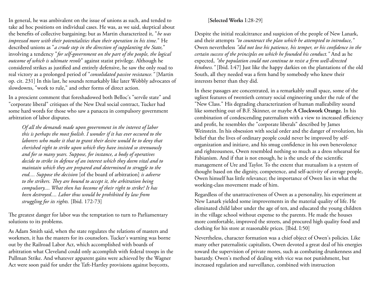In general, he was ambivalent on the issue of unions as such, and tended to take ad hoc positions on individual cases. He was, as we said, skeptical about the benefits of collective bargaining; but as Martin characterized it, "*he was impressed more with their potentialities than their operation in his time.*" He described unions as "*a crude step in the direction of supplanting the State,*" involving a tendency "*for self-government on the part of the people, the logical outcome of which is ultimate revolt*" against statist privilege. Although he considered strikes as justified and entirely defensive, he saw the only road to real victory as a prolonged period of "*consolidated passive resistance."* [Martin op. cit. 231] In this last, he sounds remarkably like later Wobbly advocates of slowdowns, "work to rule," and other forms of direct action.

In a prescient comment that foreshadowed both Belloc's "servile state" and "corporate liberal" critiques of the New Deal social contract, Tucker had some hard words for those who saw a panacea in compulsory government arbitration of labor disputes.

*Of all the demands made upon government in the interest of labor this is perhaps the most foolish. I wonder if it has ever occured to the laborers who make it that to grant their desire would be to deny that cherished right to strike upon which they have insisted so strenuously and for so many years. Suppose, for instance, a body of operatives decide to strike in defense of an interest which they deem vital and to maintain which they are prepared and determined to struggle to the end.... Suppose the decision* [of the board of arbitration] *is adverse to the strikers. They are bound to accept it, the arbitration being compulsory.... What then has become of their right to strike? It has been destroyed.... Labor thus would be prohibited by law from struggling for its rights.* [Ibid. 172-73]

The greatest danger for labor was the temptation to turn to Parliamentary solutions to its problems.

As Adam Smith said, when the state regulates the relations of masters and workmen, it has the masters for its counselors. Tucker's warning was borne out by the Railroad Labor Act, which accomplished with boards of arbitration what Cleveland could only accomplish with federal troops in the Pullman Strike. And whatever apparent gains were achieved by the Wagner Act were soon paid for under the Taft-Hartley provisions against boycotts,

#### [**Selected Works** I:28-29]

Despite the initial recalcitrance and suspicion of the people of New Lanark, and their attempts *"to counteract the plan which he attempted to introduce,"* Owen nevertheless *"did not lose his patience, his temper, or his confidence in the certain success of the principles on which he founded his conduct."* And as he expected, *"the population could not continue to resist a firm well-directed kindness."* [Ibid. I:47] Just like the happy darkies on the plantations of the old South, all they needed was a firm hand by somebody who knew their interests better than they did.

In these passages are concentrated, in a remarkably small space, some of the ugliest features of twentieth century social engineering under the rule of the "New Class." His degrading characterization of human malleability sound like something out of B.F. Skinner, or maybe **A Clockwork Orange.** In his combination of condescending paternalism with a view to increased efficiency and profit, he resembles the "corporate liberals" described by James Weinstein. In his obsession with social order and the danger of revolution, his belief that the lives of ordinary people could never be improved by selforganization and initiave, and his smug confidence in his own benevolence and righteousness, Owen resembled nothing so much as a dress rehearsal for Fabianism. And if that is not enough, he is the uncle of the scientific management of Ure and Taylor. To the extent that mutualism is a system of thought based on the dignity, competence, and self-activity of average people, Owen himself has little relevance; the importance of Owen lies in what the working-class movement made of him.

Regardless of the unattractiveness of Owen as a personality, his experiment at New Lanark yielded some improvements in the material quality of life. He eliminated child labor under the age of ten, and educated the young children in the village school without expense to the parents. He made the houses more comfortable, improved the streets, and procured high quality food and clothing for his store at reasonable prices. [Ibid. I:50]

Nevertheless, character formation was a chief object of Owen's policies. Like many other paternalistic capitalists, Owen devoted a great deal of his energies toward the supervision of private mores, such as combating drunkenness and bastardy. Owen's method of dealing with vice was not punishment, but increased regulation and surveillance, combined with instruction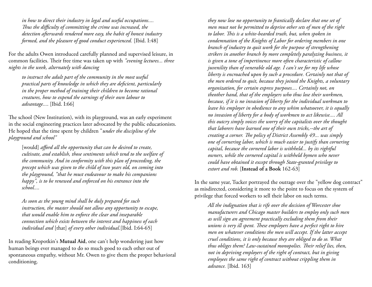*in how to direct their industry in legal and useful occupations.... Thus the difficulty of committing the crime was increased, the detection afterwards rendered more easy, the habit of honest industry formed, and the pleasure of good conduct experienced.* [Ibid. I:48]

For the adults Owen introduced carefully planned and supervised leisure, in common facilities. Their free time was taken up with *"evening lectures... three nights in the week, alternately with dancing*

*to instruct the adult part of the community in the most useful practical parts of knowledge in which they are deficient, particularly in the proper method of training their children to become rational creatures, how to expend the earnings of their own labour to advantage...*. [Ibid. I:66]

The school (New Institution), with its playground, was an early experiment in the social engineering practices later advocated by the public educationists. He hoped that the time spent by children "*under the discipline of the playground and school"*

[would] *afford all the opportunity that can be desired to create*, *cultivate, and establish, those sentiments which tend to the welfare of the community. And in conformity with this plan of proceeding, the precept which was given to the child of two years old, on coming into the playground, "that he must endeavour to make his companions happy", is to be renewed and enforced on his entrance into the school....*

*As soon as the young mind shall be duly prepared for such instruction, the master should not allow any opportunity to escape, that would enable him to enforce the clear and inseparable connection which exists between the interest and happiness of each individual and* [that] *of every other individual.*[Ibid. I:64-65]

In reading Kropotkin's **Mutual Aid**, one can't help wondering just how human beings ever managed to do so much good to each other out of spontaneous empathy, without Mr. Owen to give them the proper behavioral conditioning.

*they now lose no opportunity to frantically declare that one set of men must not be permitted to deprive other sets of men of the right to labor. This is a white-bearded truth, but, when spoken in condemnation of the Knights of Labor for ordering members in one branch of industry to quit work for the purpose of strengthening strikers in another branch by more completely paralyzing business, it is given a tone of impertinence more often characteristic of callow juvenility than of venerable old age. I can't see for my life whose liberty is encroached upon by such a procedure. Certainly not that of the men ordered to quit, because they joined the Knights, a voluntary organization, for certain express purposes.... Certainly not, on theother hand, that of the employers who thus lose their workmen, because, if it is no invasion of liberty for the individual workman to leave his employer in obedience to any whim whatsoever, it is equally no invasion of liberty for a body of workmen to act likewise.... All this outcry simply voices the worry of the capitalists over the thought that laborers have learned one of their own tricks,--the art of creating a corner. The policy of District Assembly 49... was simply one of cornering labor, which is much easier to justify than cornering capital, because the cornered labor is withheld... by its rightful owners, while the cornered capital is withheld bymen who never could have obtained it except through State-granted privilege to extort and rob.* [**Instead of a Book** 162-63]

In the same year, Tucker portrayed the outrage over the "yellow dog contract" as misdirected, considering it more to the point to focus on the system of privilege that forced workers to sell their labor on such terms.

*All the indignation that is rife over the decision of Worcester shoe manufacturers and Chicago master builders to employ only such men as will sign an agreement practically excluding them from their unions is very ill spent. These employers have a perfect right to hire men on whatever conditions the men will accept. If the latter accept cruel conditions, it is only because they are obliged to do so. What thus obliges them? Law-sustained monopolies. Their relief lies, then, not in depriving employers of the right of contract, but in giving employees the same right of contract without crippling them in advance.* [Ibid. 163]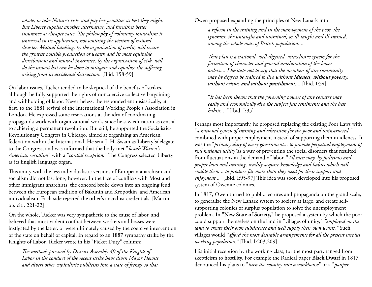*whole, to take Nature's risks and pay her penalties as best they might. But Liberty supplies another alternative, and furnishes better insurance at cheaper rates. The philosophy of voluntary mutualism is universal in its application, not omitting the victims of natural disaster. Mutual banking, by the organization of credit, will secure the greatest possible production of wealth and its most equitable distribution; and mutual insurance, by the organization of risk, will do the utmost hat can be done to mitigate and equalize the suffering arising from its accidental destruction.* [Ibid. 158-59]

On labor issues, Tucker tended to be skeptical of the benefits of strikes, although he fully supported the rights of noncoercive collective bargaining and withholding of labor. Nevertheless, the responded enthusiastically, at first, to the 1881 revival of the International Working People's Association in London. He expressed some reservations at the idea of coordinating propaganda work with organizational work, since he saw education as central to achieving a permanent revolution. But still, he supported the Socialistic-Revolutionary Congress in Chicago, aimed at organizing an American federation within the International. He sent J. H. Swain as **Liberty's**delegate to the Congress, and was informed that the body met "*Josiah Warren's American socialism*" with a "*cordial reception.*" The Congress selected **Liberty** as its English language organ.

This amity with the less individualistic versions of European anarchism and socialism did not last long, however. In the face of conflicts with Most and other immigrant anarchists, the concord broke down into an ongoing feud between the European tradition of Bakunin and Kropotkin, and American individualism. Each side rejected the other's anarchist credentials. [Martin op. cit., 221-22]

On the whole, Tucker was very sympathetic to the cause of labor, and believed that most violent conflict between workers and bosses were instigated by the latter, or were ultimately caused by the coercive intervention of the state on behalf of capital. In regard to an 1887 sympathy strike by the Knights of Labor, Tucker wrote in his "Picket Duty" column:

*The methods pursued by District Assembly 49 of the Knights of Labor in the conduct of the recent strike have diven Mayor Hewitt and divers other capitalistic publicists into a state of frenzy, so that* 

#### Owen proposed expanding the principles of New Lanark into

*a reform in the training and in the management of the poor, the ignorant, the untaught and untrained, or ill-taught and ill-trained, among the whole mass of British population....*

*That plan is a national, well-digested, unexclusive system for the formation of character and general amelioration of the lower orders.... I hesitate not to say, that the members of any community may by degrees be trained to live without idleness, without poverty, without crime, and without punishment....* [Ibid. I:54]

"*It has been shown that the governing powers of any country may easily and economically give the subject just sentiments and the best habits...."* [Ibid. I:95]

Perhaps most importantly, he proposed replacing the existing Poor Laws with "*a national system of training and education for the poor and uninstructed,"* combined with proper employment instead of supporting them in idleness. It was the "*primary duty of every government... to provide perpetual employment of real national utility"*as a way of preventing the social disorders that resulted from fluctuations in the demand of labor. "*All men may, by judicious and proper laws and training, readily acquire knowledge and habits which will enable them... to produce far more than they need for their support and enjoyment..."* [Ibid. I:95-97] This idea was soon developed into his proposed system of Owenite colonies.

In 1817, Owen turned to public lectures and propaganda on the grand scale, to generalize the New Lanark system to society at large, and create selfsupporting colonies of surplus population to solve the unemployment problem. In **"New State of Society,"** he proposed a system by which the poor could support themselves on the land in "villages of unity," *"employed on the land to create their own subsistence and well supply their own wants."* Such villages would *"afford the most desirable arrangements for all the present surplus working population."* [Ibid. I:203,209]

His initial reception by the working class, for the most part, ranged from skepticism to hostility. For example the Radical paper **Black Dwarf** in 1817 denounced his plans to "*turn the country into a workhouse*" or a "*pauper*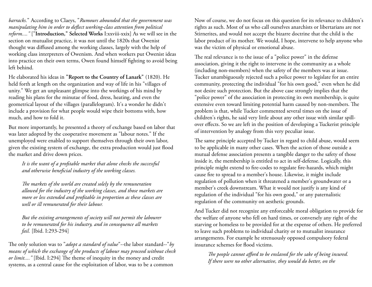*barracks.*" According to Claeys, "*Rumours abounded that the government was manipulating him in order to deflect working-class attention from political reform...."* ["**Introduction," Selected Works** I:xxviii-xxix] As we will see in the section on mutualist practice, it was not until the 1820s that Owenist thought was diffused among the working classes, largely with the help of working class interpreters of Owenism. And when workers put Owenist ideas into practice on their own terms, Owen found himself fighting to avoid being left behind.

He elaborated his ideas in **"Report to the Country of Lanark"** (1820). He held forth at length on the organization and way of life in his "villages of unity." We get an unpleasant glimpse into the workings of his mind by reading his plans for the minutae of food, dress, heating, and even the geometrical layout of the villages (parallelogram). It's a wonder he didn't include a provision for what people would wipe their bottoms with, how much, and how to fold it.

But more importantly, he presented a theory of exchange based on labor that was later adopted by the cooperative movement as "labour notes." If the unemployed were enabled to support themselves through their own labor, given the existing system of exchange, the extra production would just flood the market and drive down prices.

*It is the want of a profitable market that alone checks the successful and otherwise beneficial industry of the working classes.*

*The markets of the world are created solely by the remuneration allowed for the industry of the working classes, and those markets are more or less extended and profitable in proportion as these classes are well or ill remunerated for their labour.*

*But the existing arrangements of society will not permit the labourer to be remunerated for his industry, and in consequence all markets fail.* [Ibid. I:293-294]

The only solution was to "*adopt a standard of value*"--the labor standard--"*by means of which the exchange of the products of labour may proceed without check or limit...."* [Ibid. I:294] The theme of inequity in the money and credit systems, as a central cause for the exploitation of labor, was to be a common

Now of course, we do not focus on this question for its relevance to children's rights as such. Most of us who call ourselves anarchists or libertarians are not Stirnerites, and would not accept the bizarre doctrine that the child is the labor product of its mother. We would, I hope, intervene to help anyone who was the victim of physical or emotional abuse.

The real relevance is to the issue of a "police power" in the defense association, giving it the right to intervene in the community as a whole (including non-members) when the safety of the members was at issue. Tucker unambiguously rejected such a police power to legislate for an entire community, protecting the individual "for his own good," even when he did not desire such protection. But the above case strongly implies that the "police power" of the association in protecting its own membership, is quite extensive even toward limiting potential harm caused by non-members. The problem is that, while Tucker commented several times on the issue of children's rights, he said very little about any other issue with similar spillover effects. So we are left in the position of developing a Tuckerist principle of intervention by analogy from this very peculiar issue.

The same principle accepted by Tucker in regard to child abuse, would seem to be applicable in many other cases. When the action of those outside a mutual defense association presents a tangible danger to the safety of those inside it, the membership is entitled to act in self-defense. Logically, this principle might extend to fire-codes to regulate fire-hazards, which might cause fire to spread to a member's house. Likewise, it might include regulation of pollution when it threatened a member's groundwater or a member's creek downstream. What it would not justify is any kind of regulation of the individual "for his own good," or any paternalistic regulation of the community on aesthetic grounds.

And Tucker did not recognize any enforceable moral obligation to provide for the welfare of anyone who fell on hard times, or conversely any right of the starving or homeless to be provided for at the expense of others. He preferred to leave such problems to individual charity or to mutualist insurance arrangements. For example he strenuously opposed compulsory federal insurance schemes for flood victims.

*The people cannot afford to be enslaved for the sake of being insured. If there were no other alternative, they would do better, on the*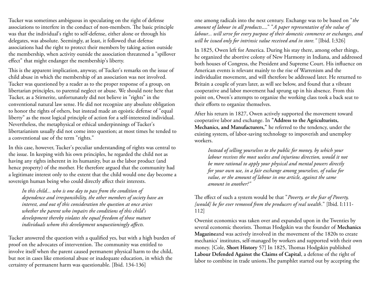Tucker was sometimes ambiguous in speculating on the right of defense associations to interfere in the conduct of non-members. The basic principle was that the individual's right to self-defense, either alone or through his delegates, was absolute. Seemingly, at least, it followed that defense associations had the right to protect their members by taking action outside the membership, when activity outside the association threatened a "spillover effect" that might endanger the membership's liberty.

This is the apparent implication, anyway, of Tucker's remarks on the issue of child abuse in which the membership of an association was not involved. Tucker was questioned by a reader as to the proper response of a group, on libertarian principles, to parental neglect or abuse. We should note here that Tucker, as a Stirnerite, unfortunately did not believe in "rights" in the conventional natural law sense. He did not recognize any absolute obligation to honor the rights of others, but instead made an egoistic defense of "equal liberty" as the most logical principle of action for a self-interested individual. Nevertheless, the metaphysical or ethical underpinnings of Tucker's libertarianism usually did not come into question; at most times he tended to a conventional use of the term "rights."

In this case, however, Tucker's peculiar understanding of rights was central to the issue. In keeping with his own principles, he regarded the child not as having any rights inherent in its humanity, but as the labor product (and hence property) of the mother. He therefore argued that the community had a legitimate interest only to the extent that the child would one day become a sovereign human being who could directly affect their interests.

*In this child... who is one day to pass from the condition of dependence and irresponsibility, the other members of society have an interest, and out of this consideration the question at once arises whether the parent who impairs the conditions of this child's development thereby violates the equal freedom of those mature individuals whom this development unquestioningly affects.*

Tucker answered the question with a qualified yes, but with a high burden of proof on the advocates of intervention. The community was entitled to involve itself when the parent caused permanent physical harm to the child, but not in cases like emotional abuse or inadequate education, in which the certainty of permanent harm was questionable. [Ibid. 134-136]

one among radicals into the next century. Exchange was to be based on "*the amount of labour in all products*...." "*A paper representative of the value of labour... will serve for every purpose of their domestic commerce or exchanges, and will be issued only for intrinsic value received and in store."* [Ibid. I:326]

In 1825, Owen left for America. During his stay there, among other things, he organized the abortive colony of New Harmony in Indiana, and addressed both houses of Congress, the President and Supreme Court. His influence on American events is relevant mainly to the rise of Warrenism and the individualist movement, and will therefore be addressed later. He returned to Britain a couple of years later, as will see below, and found that a vibrant cooperative and labor movement had sprung up in his absence. From this point on, Owen's attempts to organize the working class took a back seat to their efforts to organize themselves.

After his return in 1827, Owen actively supported the movement toward cooperative labor and exchange. In **"Address to the Agriculturists, Mechanics, and Manufacturers,"** he referred to the tendency, under the existing system, of labor-saving technology to impoverish and unemploy workers.

*Instead of selling yourselves to the public for money, by which your labour receives the most useless and injurious direction, would it not be more rational to apply your physical and mental powers directly for your own use, in a fair exchange among yourselves, of value for value, or the amount of labour in one article, against the same amount in another?"*

The effect of such a system would be that "*Poverty, or the fear of Poverty, [would] be for ever removed from the producers of real wealth*." [Ibid. I:111- 112]

Owenist economics was taken over and expanded upon in the Twenties by several economic theorists. Thomas Hodgskin was the founder of **Mechanics Magazine**and was actively involved in the movement of the 1820s to create mechanics' institutes, self-managed by workers and supported with their own money. [Cole, **Short History** 57] In 1825, Thomas Hodgskin published **Labour Defended Against the Claims of Capital**, a defense of the right of labor to combine in trade unions**.**The pamphlet started out by accepting the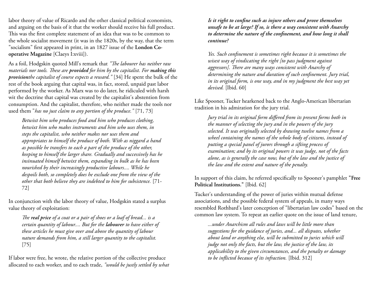labor theory of value of Ricardo and the other classical political economists, and arguing on the basis of it that the worker should receive his full product. This was the first complete statement of an idea that was to be common to the whole socialist movement (it was in the 1820s, by the way, that the term "socialism" first appeared in print, in an 1827 issue of the **London Cooperative Magazine** [Claeys I:xviii]).

As a foil, Hodgskin quoted Mill's remark that *"The labourer has neither raw materials nor tools. These are provided for him by the capitalist. For making this provisionthe capitalist of course expects a reward."* [34] He spent the bulk of the rest of the book arguing that capital was, in fact, stored, unpaid past labor performed by the worker. As Marx was to do later, he ridiculed with harsh wit the doctrine that capital was created by the capitalist's abstention from consumption. And the capitalist, therefore, who neither made the tools nor used them "*has no just claim to any portion of the produce."* [71, 73]

*Betwixt him who produces food and him who produces clothing, betwixt him who makes instruments and him who uses them, in steps the capitalist, who neither makes nor uses them and appropriates to himself the produce of both. With as niggard a hand as possible he transfers to each a part of the produce of the other, keeping to himself the larger share. Gradually and successively has he insinuated himself betwixt them, expanding in bulk as he has been nourished by their increasingly productive labours.... While he despoils both, so completely does he exclude one from the view of the other that both believe they are indebted to him for subsistence.* [71- 72]

In conjunction with the labor theory of value, Hodgskin stated a surplus value theory of exploitation:

*The real price of a coat or a pair of shoes or a loaf of bread... is a certain quantity of labour.... But for the labourer to have either of these articles he must give over and above the quantity of labour nature demands from him, a still larger quantity to the capitalist.* [75]

If labor were free, he wrote, the relative portion of the collective produce allocated to each worker, and to each trade, *"would be justly settled by what*  *Is it right to confine such as injure others and prove themselves unsafe to be at large? If so, is there a way consistent with Anarchy to determine the nature of the confinement, and how long it shall continue?*

*Yes. Such confinement is sometimes right because it is sometimes the wisest way of vindicating the right [to pass judgment against aggressors]. There are many ways consistent with Anarchy of determining the nature and duration of such confinement. Jury trial, in its original form, is one way, and in my judgment the best way yet devised.* [Ibid. 60]

Like Spooner, Tucker hearkened back to the Anglo-American libertarian tradition in his admiration for the jury trial.

*Jury trial in its original form differed from its present forms both in the manner of selecting the jury and in the powers of the jury selected. It was originally selected by drawing twelve names from a wheel containing the names of the whole body of citizens, instead of putting a special panel of jurors through a sifting process of examination; and by its original powers it was judge, not of the facts alone, as is generally the case now, but of the law and the justice of the law and the extent and nature of the penalty.*

In support of this claim, he referred specifically to Spooner's pamphlet **"Free Political Institutions."** [Ibid. 62]

Tucker's understanding of the power of juries within mutual defense associations, and the possible federal system of appeals, in many ways resembled Rothbard's later conception of "libertarian law codes" based on the common law system. To repeat an earlier quote on the issue of land tenure,

*...under Anarchism all rules and laws will be little more than suggestions for the guidance of juries, and... all disputes, whether about land or anything else, will be submitted to juries which will judge not only the facts, but the law, the justice of the law, its applicability to the given circumstances, and the penalty or damage to be inflicted because of its infraction.* [Ibid. 312]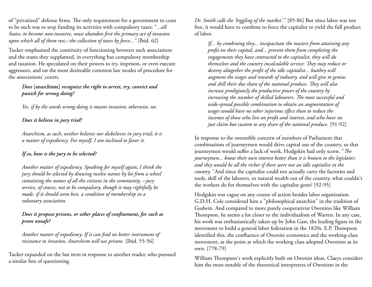of "privatized" defense firms. The only requirement for a government to ceast to be such was to stop funding its activities with compulsory taxes: "*...all States, to become non-invasive, must abandon first the primary act of invasion upon which all of them rest,--the collection of taxes by force..."* [Ibid. 62]

Tucker emphasized the continuity of functioning between such associations and the states they supplanted, in everything but compulsory membership and taxation. He speculated on their powers to try, imprison, or even execute aggressors, and on the most desireable common law modes of procedure for the associations' courts.

## *Does* **[anarchism]** *recognize the right to arrest, try, convict and punish for wrong doing?*

*Yes, if by the words wrong doing is meant invasion; otherwise, no.*

## *Does it believe in jury trial?*

*Anarchism, as such, neither believes nor disbelieves in jury trial; it is a matter of expediency. For myself, I am inclined to favor it.*

## *If so, how is the jury to be selected?*

*Another matter of expediency. Speaking for myself again, I think the jury should be selected by drawing twelve names by lot from a wheel containing the names of all the citizens in the community, --jury service, of course, not to be compulsory, though it may rightfully be made, if it should seem best, a condition of membership in a voluntary association.*

## *Does it propose prisons, or other places of confinement, for such as prove unsafe?*

*Another matter of expediency. If it can find no better instrument of resistance to invasion, Anarchism will use prisons.* [Ibid. 55-56]

Tucker expanded on the last item in response to another reader, who pursued a similar line of questioning.

*Dr. Smith calls the 'higgling of the market'*." [85-86] But since labor was not free, it would have to combine to force the capitalist to yield the full product of labor.

*If... by combining they... incapacitate the masters from attaining any profit on their capital, and... prevent them from completing the engagements they have contracted to the capitalist, they will do themselves and the country incalculable service. They may reduce or destroy altogether the profit of the idle capitalist... butthey will augment the wages and rewards of industry, and will give to genius and skill their due share of the national produce. They will also increase prodigiously the productive power of the country by increasing the number of skilled labourers. The most successful and wide-spread possible combination to obtain an augmentation of wages would have no other injurious effect than to reduce the incomes of those who live on profit and interest, and who have no just claim but custom to any share of the national produce.* [91-92]

In response to the ostensible concern of members of Parliament that combinations of journeymen would drive capital out of the country, so that journeymen would suffer a lack of work, Hodgskin had only scorn. "*The journeymen... know their own interest better than it is known to the legislator; and they would be all the richer if there were not an idle capitalist in the country."* And since the capitalist could not actually carry the factories and tools, skill of the laborers, or natural wealth out of the country, what couldn't the workers do for themselves with the capitalist gone? [92-95]

Hodgskin was vague on any course of action besides labor organization. G.D.H. Cole considered him a "philosophical anarchist" in the tradition of Godwin. And compared to more purely cooperativist Owenites like William Thompson, he seems a lot closer to the individualism of Warren. In any case, his work was enthusiastically taken up by John Gast, the leading figure in the movement to build a general labor federation in the 1820s. E.P. Thompson identified this, the confluence of Owenite economics and the working-class movement, as the point at which the working class adopted Owenism as its own. [778-79]

William Thompson's work explicitly built on Owenist ideas. Claeys considers him the most notable of the theoretical interpreters of Owenism in the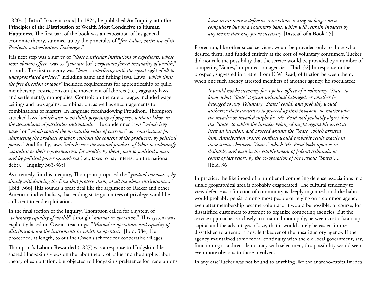1820s. [**"Intro"** I**:**xxxviii-xxxix] In 1824, he published **An Inquiry into the Principles of the Distribution of Wealth Most Conducive to Human Happiness.** The first part of the book was an exposition of his general economic theory, summed up by the principles of "*free Labor, entire use of its Products, and voluntary Exchanges*."

His next step was a survey of *"those particular institutions or expedients, whose most obvious effect*" was to *"generate* [or] *perpetuate forced inequality of wealth*," or both. The first category was "*laws... interfering with the equal right of all to unappropriated articles*," including game and fishing laws. Laws "*which limit the free direction of labor"* included requirements for apprenticeship or guild membership, restrictions on the movement of laborers (i.e., vagrancy laws and settlements), monopolies. Controls on the rate of wages included wage ceilings and laws against combination, as well as encouragements to combinations of masters. In language foreshadowing Proudhon, Thompson attacked laws "*which aim to establish perpetuity of property, without labor, in the descendants of particular individuals*." He condemned laws "*which levy taxes"* or "*which control the mercantile value of currency*" as "*contrivances for abstracting the products of labor, without the consent of the producers, by political power*." And finally, laws *"which seize the annual products of labor to indemnify capitalists or their representatives, for wealth, by them given to political power, and by political power squandered* (i.e., taxes to pay interest on the national debt)." [**Inquiry** 363-365]

As a remedy for this inequity, Thompson proposed the "*gradual removal..., by simply withdrawing the force that protects them, of all the above institutions...."* [Ibid. 366] This sounds a great deal like the argument of Tucker and other American individualists, that ending state guarantees of privilege would be sufficient to end exploitation.

In the final section of the **Inquiry**, Thompson called for a system of "*voluntary equality of wealth*" through "*mutual co-operation*." This system was explicitly based on Owen's teachings: "*Mutual co-operation, and equality of distribution, are the instruments by which he operates*." [Ibid. 384] He proceeded, at length, to outline Owen's scheme for cooperative villages.

Thompson's **Labour Rewarded** (1827) was a response to Hodgskin**.** He shared Hodgskin's views on the labor theory of value and the surplus labor theory of exploitation, but objected to Hodgskin's preference for trade unions

*leave in existence a defensive association, resting no longer on a compulsory but on a voluntary basis, which will restrain invaders by any means that may prove necessary.* [**Instead of a Book** 25]

Protection, like other social services, would be provided only to those who desired them, and funded entirely at the cost of voluntary consumers. Tucker did not rule the possibility that the service would be provided by a number of competing "States," or protection agencies. [Ibid. 32] In response to the prospect, suggested in a letter from F. W. Read, of friction between them, when one such agency arrested members of another agency, he speculated:

*It would not be necessary for a police officer of a voluntary "State" to know what "State" a given individual belonged, or whether he belonged to any. Voluntary "States" could, and probably would, authorize their executives to proceed against invasion, no matter who the invader or invaded might be. Mr. Read will probably object that the "State" to which the invader belonged might regard his arrest as itself an invasion, and proceed against the "State" which arrested him. Anticipation of such conflicts would probably result exactly in those treaties between "States" which Mr. Read looks upon as so desirable, and even in the establishment of federal tribunals, as courts of last resort, by the co-operation of the various "States"....* [Ibid. 36]

In practice, the likelihood of a number of competing defense associations in a single geographical area is probably exaggerated. The cultural tendency to view defense as a function of community is deeply ingrained, and the habit would probably persist among most people of relying on a common agency, even after membership became voluntary. It would be possible, of course, for dissatisfied customers to attempt to organize competing agencies. But the service approaches so closely to a natural monopoly, between cost of start-up capital and the advantages of size, that it would surely be easier for the dissatisfied to attempt a hostile takeover of the unsatisfactory agency. If the agency maintained some moral continuity with the old local government, say, functioning as a direct democracy with selectmen, this possibility would seem even more obvious to those involved.

In any case Tucker was not bound to anything like the anarcho-capitalist idea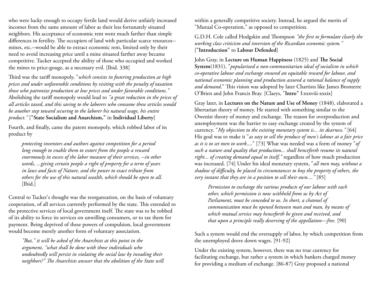who were lucky enough to occupy fertile land would derive unfairly increased incomes from the same amount of labor as their less fortunately situated neighbors. His acceptance of economic rent went much farther than simple differences in fertility. The occupiers of land with particular scarce resources- mines, etc.--would be able to extract economic rent, limited only by their need to avoid increasing price until a mine situated farther away became competitive. Tucker accepted the ability of those who occupied and worked the mines to price-gouge, as a necessary evil. [Ibid. 338]

Third was the tariff monopoly, "*which consists in fostering production at high prices and under unfavorable conditions by visiting with the penalty of taxation those who patronize production at low prices and under favorable conditions."* Abolishing the tariff monopoly would lead to *"a great reduction in the prices of all articles taxed, and this saving to the laborers who consume these articles would be another step toward securing to the laborer his natural wage, his entire product."* [**"State Socialism and Anarchism,"** in **Individual Liberty**]

Fourth, and finally, came the patent monopoly, which robbed labor of its product by

*protecting inventors and authors against competition for a period long enough to enable them to extort from the people a reward enormously in excess of the labor measure of their services, --in other words, ...giving certain people a right of property for a term of years in laws and facts of Nature, and the power to exact tribute from others for the use of this natural wealth, which should be open to all.* [Ibid.]

Central to Tucker's thought was the reorganzation, on the basis of voluntary cooperation, of all services currently performed by the state. This extended to the protective services of local government itself. The state was to be robbed of its ability to force its services on unwilling consumers, or to tax them for payment. Being deprived of these powers of compulsion, local government would become merely another form of voluntary association.

*"But," it will be asked of the Anarchists at this point in the argument, "what shall be done with those individuals who undoubtedly will persist in violating the social law by invading their neighbors?" The Anarchists answer that the abolition of the State will* within a generally competitive society. Instead, he argued the merits of "Mutual Co-operation," as opposed to competition.

G.D.H. Cole called Hodgskin and Thompson *"the first to formulate clearly the working class criticism and inversion of the Ricardian economic system."* [**"Introduction"** to **Labour Defended**]

John Gray, in **Lecture on Human Happiness** (1825) and **The Social System**(1831), "*popularized a non-communitarian ideal of socialism in which co-operative labour and exchange ensured an equitable reward for labour, and national economic planning and production assured a rational balance of supply and demand*." This vision was adopted by later Chartists like James Bronterre O'Brien and John Francis Bray. [Claeys, "**Intro"** I:xxxviii-xxxix]

Gray later, in **Lectures on the Nature and Use of Money** (1848), elaborated a libertarian theory of money. He started with something similar to the Owenist theory of money and exchange. The reason for overproduction and unemployment was the barrier to easy exchange created by the system of currency. "*My objection to the existing monetary system is... its dearness."* [64] His goal was to make it "*as easy to sell the produce of men's labour at a fair price as it is to set men to work*...." [73] What was needed was a form of money "*of such a nature and quality that production... shall henceforth resume its natural right... of creating demand equal to itself,"* regardless of how much production was increased. [74] Under his ideal monetary system, "*all men may, without a shadow of difficulty, be placed in circumstances to buy the property of others, the very instant that they are in a position to sell their own...."* [85]

*Permission to exchange the various products of our labour with each other, which permission is now withheld from us by Act of Parliament, must be conceded to us. In short, a channel of communication must be opened between man and man, by means of which mutual service may henceforth be given and received, and that upon a principle really deserving of the appellation---free.* [90]

Such a system would end the oversupply of labor, by which competition from the unemployed drove down wages. [91-92]

Under the existing system, however, there was no true currency for facilitating exchange, but rather a system in which bankers charged money for providing a medium of exchange. [86-87] Gray proposed a national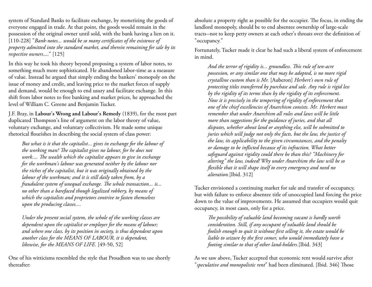system of Standard Banks to facilitate exchange, by monetizing the goods of everyone engaged in trade. At that point, the goods would remain in the possession of the original owner until sold, with the bank having a lien on it. [110-228] "*Bank-notes... would be so many certificates of the existence of property admitted into the standard market, and therein remaining for sale by its respective owners*...." [125]

In this way he took his theory beyond proposing a system of labor notes, to something much more sophisticated. He abandoned labor-time as a measure of value. Instead he argued that simply ending the bankers' monopoly on the issue of money and credit, and leaving price to the market forces of supply and demand, would be enough to end usury and facilitate exchange. In this shift from labor notes to free banking and market prices, he approached the level of William C. Greene and Benjamin Tucker.

J.F. Bray, in **Labour's Wrong and Labour's Remedy** (1839), for the most part duplicated Thompson's line of argument on the labor theory of value, voluntary exchange, and voluntary collectivism. He made some unique rhetorical flourishes in describing the social system of class power:

*But what is it that the capitalist... gives in exchange for the labour of the working man? The capitalist gives no labour, for he does not work.... The wealth which the capitalist appears to give in exchange for the workman's labour was generated neither by the labour nor the riches of the capitalist, but it was originally obtained by the labour of the workman; and it is still daily taken from, by a fraudulent system of unequal exchange. The whole transaction... is... no other than a barefaced though legalized robbery, by means of which the capitalists and proprietors contrive to fasten themselves upon the producing classes....*

*Under the present social system, the whole of the working classes are dependent upon the capitalist or employer for the means of labour; and where one class, by its position in society, is thus dependent upon another class for the MEANS OF LABOUR, it is dependent, likewise, for the MEANS OF LIFE.* [49-50, 52]

One of his witticisms resembled the style that Proudhon was to use shortly thereafter:

absolute a property right as possible for the occupier. The focus, in ending the landlord monopoly, should be to end absentee ownership of large-scale tracts--not to keep petty owners at each other's throats over the definition of "occupancy."

Fortunately, Tucker made it clear he had such a liberal system of enforcement in mind.

*And the terror of rigidity is... groundless. This rule of ten-acre possession, or any similar one that may be adopted, is no more rigid crystalline custom than is Mr.* [Auberon] *Herbert's own rule of protecting titles transferred by purchase and sale. Any rule is rigid less by the rigidity of its terms than by the rigidity of its enforcement. Now it is precisely in the tempering of rigidity of enforcement that one of the chief excellencies of Anarchism consists. Mr. Herbert must remember that under Anarchism all rules and laws will be little more than suggestions for the guidance of juries, and that all disputes, whether about land or anything else, will be submitted to juries which will judge not only the facts, but the law, the justice of the law, its applicability to the given circumstances, and the penalty or damage to be inflicted because of its infraction. What better safeguard against rigidity could there be than this? "Machinery for altering" the law, indeed! Why under Anarchism the law will be so flexible that it will shape itself to every emergency and need no alteration.*[Ibid. 312]

Tucker envisioned a continuing market for sale and transfer of occupancy, but with failure to enforce absentee title of unoccupied land forcing the price down to the value of improvements. He assumed that occupiers would quit occupancy, in most cases, only for a price.

*The possibility of valuable land becoming vacant is hardly worth consideration. Still, if any occupant of valuable land should be foolish enough to quit it without first selling it, the estate would be liable to seizure by the first comer, who would immediately have a footing similar to that of other land-holders.*[Ibid. 343]

As we saw above, Tucker accepted that economic rent would survive after "*speculative and monopolistic rent*" had been eliminated. [Ibid. 346] Those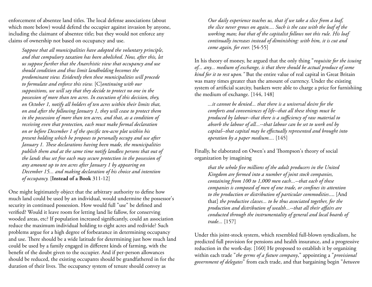enforcement of absentee land titles. The local defense associations (about which more below) would defend the occupier against invasion by anyone, including the claimant of absentee title; but they would not enforce any claims of ownership not based on occupancy and use.

*Suppose that all municipalities have adopted the voluntary principle, and that compulsory taxation has been abolished. Now, after this, let us suppose further that the Anarchistic view that occupancy and use should condition and thus limit landholding becomes the predominant view. Evidently then these municipalities will procede to formulate and enforce this view.* [C]*ontinuing with our suppositions, we will say that they decide to protect no one in the possession of more than ten acres. In execution of this decision, they, on October 1, notify all holders of ten acres within their limits that, on and after the following January 1, they will cease to protect them in the possession of more than ten acres, and that, as a condition of receiving even that protection, each must make formal declaration on or before December 1 of the specific ten-acre plot within his present holding which he proposes to personally occupy and use after January 1. These declarations having been made, the municipalities publish them and at the same time notify landless persons that out of the lands thus set free each may secure protection in the possession of any amount up to ten acres after January 1 by appearing on December 15... and making declaration of his choice and intention of occupancy.* [**Instead of a Book** 311-12]

One might legitimately object that the arbitrary authority to define how much land could be used by an individual, would undermine the possessor's security in continued possession. How would full "use" be defined and verified? Would it leave room for letting land lie fallow, for conserving wooded areas, etc? If population increased significantly, could an association reduce the maximum individual holding to eight acres and redivide? Such problems argue for a high degree of forbearance in determining occupancy and use. There should be a wide latitude for determining just how much land could be used by a family engaged in different kinds of farming, with the benefit of the doubt given to the occupier. And if per-person allowances should be reduced, the existing occupants should be grandfathered in for the duration of their lives. The occupancy system of tenure should convey as

*Our daily experience teaches us, that if we take a slice from a loaf, the slice never grows on again.... Such is the case with the loaf of the working man; but that of the capitalist follows not this rule. His loaf continually increases instead of diminishing: with him, it is cut and come again, for ever.* [54-55]

In his theory of money, he argued that the only thing "*requisite for the issuing of... any... medium of exchange, is that there should be actual produce of some kind for it to rest upon."* But the entire value of real capital in Great Britain was many times greater than the amount of currency. Under the existing system of artificial scarcity, bankers were able to charge a price for furnishiing the medium of exchange. [144, 148]

*...it cannot be denied... that there is a universal desire for the comforts and conveniences of life--that all these things must be produced by labour--that there is a sufficiency of raw material to absorb the labour of all...--that labour can be set to work onl by capital--that capital may be effectually represented and brought into operation by a paper medium....* [145]

Finally, he elaborated on Owen's and Thompson's theory of social organization by imagining

*that the whole five millions of the adult producers in the United Kingdom are formed into a number of joint stock companies, containing from 100 to 1,000 men each...--that each of these companies is composed of men of one trade, or confines its attention to the production or distribution of particular commodities*.... [And that] *the productive classes... to be thus associated together, for the production and distribution of wealth...--that all their affairs are conducted through the instrumentality of general and local boards of trade...* [157]

Under this joint-stock system, which resembled full-blown syndicalism, he predicted full provision for pensions and health insurance, and a progressive reduction in the work-day. [160] He proposed to establish it by organizing within each trade "*the germs of a future company*," appointing a "*provisional government of delegates*" from each trade, and that bargaining begin "*between*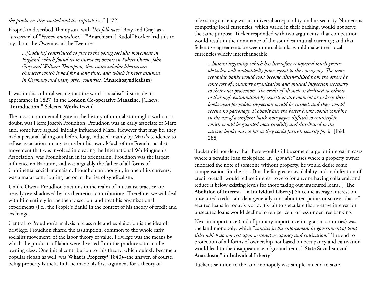## *the producers thus united and the capitalists*..." [172]

Kropotkin described Thompson, with "*his followers*" Bray and Gray, as a "*precursor*" of "*French mutualism*." [**"Anarchism"**] Rudolf Rocker had this to say about the Owenites of the Twenties:

*...[Godwin] contributed to give to the young socialist movement in England, which found its maturest exponents in Robert Owen, John Gray and William Thompson, that unmistakable libertarian character which it had for a long time, and which it never assumed in Germany and many other countries.* (**Anarchosyndicalism**)

It was in this cultural setting that the word "socialist" first made its appearance in 1827, in the **London Co-operative Magazine.** [Claeys, "**Introduction," Selected Works** I:xviii]

The most monumental figure in the history of mutualist thought, without a doubt, was Pierre Joseph Proudhon. Proudhon was an early associate of Marx and, some have argued, initially influenced Marx. However that may be, they had a personal falling out before long, induced mainly by Marx's tendency to refuse association on any terms but his own. Much of the French socialist movement that was involved in creating the International Workingmen's Association, was Proudhonian in its orientation. Proudhon was the largest influence on Bakunin, and was arguably the father of all forms of Continental social anarchism. Proudhonian thought, in one of its currents, was a major contributing factor to the rise of syndicalism.

Unlike Owen, Proudhon's actions in the realm of mutualist practice are heavily overshadowed by his theoretical contributions. Therefore, we will deal with him entirely in the theory section, and treat his organizational experiments (i.e., the People's Bank) in the context of his theory of credit and exchange.

Central to Proudhon's analysis of class rule and exploitation is the idea of privilege. Proudhon shared the assumption, common to the whole early socialist movement, of the labor theory of value. Privilege was the means by which the products of labor were diverted from the producers to an idle owning class. One initial contribution to this theory, which quickly became a popular slogan as well, was **What is Property?**(1840)--the answer, of course, being property is theft. In it he made his first argument for a theory of

of existing currency was its universal acceptability, and its security. Numerous competing local currencies, which varied in their backing, would not serve the same purpose. Tucker responded with two arguments: that competition would result in the dominance of the soundest mutual currency; and that federative agreements between mutual banks would make their local currencies widely interchangeable.

*...human ingenuity, which has heretofore conquered much greater obstacles, will undoubtedly prove equal to the emergency. The more reputable banks would soon become distinguished from the others by some sort of voluntary organization and mutual inspection necessary to their own protection. The credit of all such as declined to submit to thorough examination by experts at any moment or to keep their books open for public inspection would be ruined, and these would receive no patronage. Probably also the better banks would combine in the use of a uniform bank-note paper difficult to counterfeit, which would be guarded most carefully and distributed to the various banks only so far as they could furnish security for it.* [Ibid. 288]

Tucker did not deny that there would still be some charge for interest in cases where a genuine loan took place. In "*sporadic"* cases where a property owner endorsed the note of someone without property, he would desire some compensation for the risk. But the far greater availability and mobilization of credit overall, would reduce interest to zero for anyone having collateral, and reduce it below existing levels for those taking out unsecured loans. [**"The Abolition of Interest,"** in **Individual Liberty**] Since the average interest on unsecured credit card debt generally runs about ten points or so over that of secured loans in today's world, it's fair to speculate that average interest for unsecured loans would decline to ten per cent or less under free banking.

Next in importance (and of primary importance in agrarian countries) was the land monopoly, which "*consists in the enforcement by government of land titles which do not rest upon personal occupancy and cultivation.*" The end to protection of all forms of ownership not based on occupancy and cultivation would lead to the disappearance of ground-rent. [**"State Socialism and Anarchism,"** in **Individual Liberty**]

Tucker's solution to the land monopoly was simple: an end to state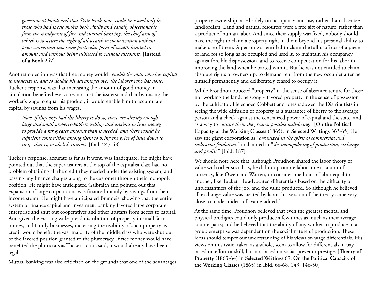*government bonds and that State bank-notes could be issued only by those who had specie makes both vitally and equally objectionable from the standpoint of free and mutual banking, the chief aim of which is to secure the right of all wealth to monetization without prior conversion into some particular form of wealth limited in amount and without being subjected to ruinous discounts.* [**Instead of a Book** 247]

Another objection was that free money would "*enable the man who has capital to monetize it, and so double his advantages over the laborer who has none.*" Tucker's response was that increasing the amount of good money in circulation benefited everyone, not just the issuers; and that by raising the worker's wage to equal his product, it would enable him to accumulate capital by savings from his wages.

*Now, if they only had the liberty to do so, there are already enough large and small property-holders willing and anxious to issue money, to provide a far greater amount than is needed, and there would be sufficient competition among them to bring the price of issue down to cost,--that is, to abolish interest.* [Ibid. 247-48]

Tucker's response, accurate as far as it went, was inadequate. He might have pointed out that the super-usurers at the top of the capitalist class had no problem obtaining all the credit they needed under the existing system, and passing any finance charges along to the customer through their monopoly position. He might have anticipated Galbraith and pointed out that expansion of large corporations was financed mainly by savings from their income steam. He might have anticipated Brandeis, showing that the entire system of finance capital and investment banking favored large corporate enterprise and shut out cooperatives and other upstarts from access to capital. And given the existing widespread distribution of property in small farms, homes, and family businesses, increasing the usability of such property as credit would benefit the vast majority of the middle class who were shut out of the favored position granted to the plutocracy. If free money would have benefited the plutocrats as Tucker's critic said, it would already have been legal.

Mutual banking was also criticized on the grounds that one of the advantages

property ownership based solely on occupancy and use, rather than absentee landlordism. Land and natural resources were a free gift of nature, rather than a product of human labor. And since their supply was fixed, nobody should have the right to claim a property right in them beyond his personal ability to make use of them. A person was entitled to claim the full usufruct of a piece of land for so long as he occupied and used it, to maintain his occupancy against forcible dispossession, and to receive compensation for his labor in improving the land when he parted with it. But he was not entitled to claim absolute rights of ownership, to demand rent from the new occupier after he himself permanently and deliberately ceased to occupy it.

While Proudhon opposed "property" in the sense of absentee tenure for those not working the land, he stongly favored property in the sense of possession by the cultivator. He echoed Cobbett and foreshadowed the Distributists in seeing the wide diffusion of property as a guarantee of liberty to the average person and a check against the centralized power of capital and the state, and as a way to "*assure them the greatest possible well-being*." [**On the Political Capacity of the Working Classes** (1865), in **Selected Writings** 363-65] He saw the giant corporation as "*organized in the spirit of commercial and industrial feudalism*," and aimed at "*the monopolizing of production, exchange and profits*." [Ibid. 187]

We should note here that, although Proudhon shared the labor theory of value with other socialists, he did not promote labor time as a unit of currency, like Owen and Warren, or consider one hour of labor equal to another, like Tucker. He advocated differentials based on the difficulty or unpleasantness of the job, and the value produced. So although he believed all exchange-value was created by labor, his version of the theory came very close to modern ideas of "value-added."

At the same time, Proudhon believed that even the greatest mental and physical prodigies could only produce a few times as much as their average counterparts; and he believed that the ability of any worker to produce in a group enterprise was dependent on the social nature of production. These ideas should temper our understanding of his views on wage differentials. His views on this issue, taken as a whole, seem to allow for differentials in pay based on effort or skill, but not based on social power or prestige. [**Theory of Property** (1863-64) in **Selected Writings** 69; **On the Political Capacity of the Working Classes** (1865) in Ibid. 66-68, 143, 146-50]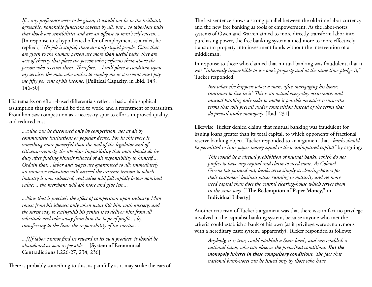*If... any preference were to be given, it would not be to the brilliant, agreeable, honorable functions coveted by all, but... to laborious tasks that shock our sensibilities and are an offense to man's self-esteem....* [In response to a hypothetical offer of employment as a valet, he replied:] "*No job is stupid, there are only stupid people. Cares that are given to the human person are more than useful tasks, they are acts of charity that place the person who performs them above the person who receives them. Therefore, ...I will place a condition upon my service: the man who wishes to employ me as a servant must pay me fifty per cent of his income.* [**Political Capacity,** in Ibid. 143, 146-50]

His remarks on effort-based differentials reflect a basic philosophical assumption that pay should be tied to work, and a resentment of parasitism. Proudhon saw competition as a necessary spur to effort, improved quality, and reduced cost.

*...value can be discovered only by competition, not at all by communistic institutions or popular decree. For in this there is something more powerful than the will of the legislator and of citizens,--namely, the absolute impossibility that man should do his duty after finding himself relieved of all responsibility to himself.... Ordain that... labor and wages are guaranteed to all: immediately an immense relaxation will succeed the extreme tension to which industry is now subjected; real value will fall rapidly below nominal value; ...the merchant will ask more and give less....*

*...Now that is precisely the effect of competition upon industry. Man rouses from his idleness only when want fills him with anxiety; and the surest way to extinguish his genius is to deliver him from all solicitude and take away from him the hope of profit..., by... transferring to the State the responsibility of his inertia....*

*...[I]f labor cannot find its reward in its own product, it should be abandoned as soon as possible....* [**System of Economical Contradictions** I:226-27, 234, 236]

There is probably something to this, as painfully as it may strike the ears of

The last sentence shows a strong parallel between the old-time labor currency and the new free banking as tools of empowerment. As the labor-notes systems of Owen and Warren aimed to more directly transform labor into purchasing power, the free banking system aimed more to more effectively transform property into investment funds without the intervention of a middleman.

In response to those who claimed that mutual banking was fraudulent, that it was "*inherently impossbible to use one's property and at the same time pledge it,*" Tucker responded:

*But what else happens when a man, after mortgaging his house, continues to live in it? This is an actual every-day occurrence, and mutual banking only seeks to make it possible on easier terms,--the terms that will prevail under competition instead of the terms that do prevail under monopoly.* [Ibid. 231]

Likewise, Tucker denied claims that mutual banking was fraudulent for issuing loans greater than its total capital, to which opponents of fractional reserve banking object. Tucker responded to an argument that "*banks should be permitted to issue paper money equal to their unimpaired capital"* by arguing:

*This would be a virtual prohibition of mutual banks, which do not profess to have any capital and claim to need none. As Colonel Greene has pointed out, banks serve simply as clearing-houses for their customers' business paper running to maturity and no more need capital than does the central clearing-house which serves them in the same way.* [**"The Redemption of Paper Money,"** in **Individual Liberty**]

Another criticism of Tucker's argument was that there was in fact no privilege involved in the capitalist banking system, because anyone who met the criteria could establish a bank of his own (as if privilege were synonymous with a hereditary caste system, apparently). Tucker responded as follows:

*Anybody, it is true, could establish a State bank, and can establish a national bank, who can observe the prescribed conditions. But the monopoly inheres in these compulsory conditions. The fact that national bank-notes can be issued only by those who have*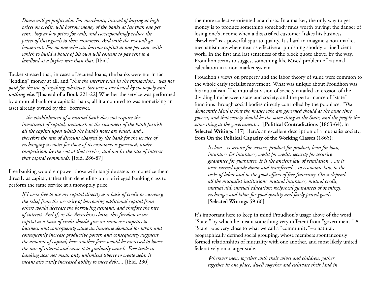*Down will go profits also. For merchants, instead of buying at high prices on credit, will borrow money of the banks at less than one per cent., buy at low prices for cash, and correspondingly reduce the prices of their goods to their customers. And with the rest will go house-rent. For no one who can borrow capital at one per cent. with which to build a house of his own will consent to pay rent to a landlord at a higher rate than that.* [Ibid.]

Tucker stressed that, in cases of secured loans, the banks were not in fact "lending" money at all, and "*that the interest paid in the transaction... was not paid for the use of anything whatever, but was a tax levied by monopoly and nothing else."*[**Instead of a Book** 221-22] Whether the service was performed by a mutual bank or a capitalist bank, all it amounted to was monetizing an asset already owned by the "borrower."

*...the establishment of a mutual bank does not require the investment of capital, inasmuch as the customers of the bank furnish all the capital upon which the bank's notes are based, and... therefore the rate of discount charged by the bank for the service of exchanging its notes for those of its customers is governed, under competition, by the cost of that service, and not by the rate of interest that capital commands.* [Ibid. 286-87]

Free banking would empower those with tangible assets to monetize them directly as capital, rather than depending on a privileged banking class to perform the same service at a monopoly price.

*If I were free to use my capital directly as a basis of credit or currency, the relief from the necessity of borrowing additional capital from others would decrease the borrowing demand, and threfore the rate of interest. And if, as the Anarchists claim, this freedom to use capital as a basis of credit should give an immense impetus to business, and consequently cause an immense demand for labor, and consequently increase productive power, and consequently augment the amount of capital, here another force would be exercised to lower the rate of interest and cause it to gradually vanish. Free trade in banking does not mean only unlimited liberty to create debt; it means also vastly increased ability to meet debt....* [Ibid. 230]

the more collective-oriented anarchists. In a market, the only way to get money is to produce something somebody finds worth buying; the danger of losing one's income when a dissatisfied customer "takes his business elsewhere" is a powerful spur to quality. It's hard to imagine a non-market mechanism anywhere near as effective at punishing shoddy or inefficient work. In the first and last sentences of the block quote above, by the way, Proudhon seems to suggest something like Mises' problem of rational calculation in a non-market system.

Proudhon's views on property and the labor theory of value were common to the whole early socialist movement. What was unique about Proudhon was his mutualism. The mutualist vision of society entailed an erosion of the dividing line between state and society, and the performance of "state" functions through social bodies directly controlled by the populace. *"The democratic ideal is that the masses who are governed should at the same time govern, and that society should be the same thing as the State, and the people the same thing as the government...."*[**Political Contradictions** (1863-64), in **Selected Writings** 117] Here's an excellent description of a mutualist society, from **On the Political Capacity of the Working Classes** (1865):

*Its law... is service for service, product for product, loan for loan, insurance for insurance, credit for credit, security for security, guarantee for guarantee. It is the ancient law of retaliation, ...as it were turned upside down and transferred... to economic law, to the tasks of labor and to the good offices of free fraternity. On it depend all the mutualist institutions: mutual insurance, mutual credit, mutual aid, mutual education; reciprocal guarantees of openings, exchanges and labor for good quality and fairly priced goods.* [**Selected Writings** 59-60]

It's important here to keep in mind Proudhon's usage above of the word "State," by which he meant something very different from "government." A "State" was very close to what we call a "community"--a natural, geographically defined social grouping, whose members spontaneously formed relationships of mutuality with one another, and most likely united federatively on a larger scale.

*Wherever men, together with their wives and children, gather together in one place, dwell together and cultivate their land in*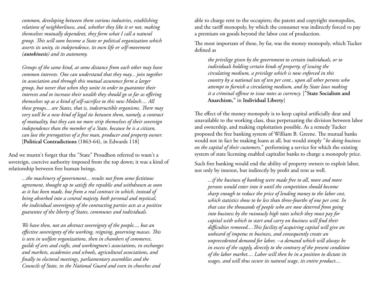*common, developing between them various industries, establishing relations of neighborliness, and, whether they like it or not, making themselves mutually dependent, they form what I call a natural group. This will soon become a State or political organization which asserts its unity, its independence, its own life or self-movement (autokinesis) and its autonomy.*

*Groups of the same kind, at some distance from each other may have common interests. One can understand that they may... join together in association and through this mutual assurance form a larger group, but never that when they unite in order to guarantee their interests and to increase their wealth they should go so far as offering themselves up as a kind of self-sacrifice to this new Moloch.... All these groups... are States, that is, indestructible organisms. There may very well be a new kind of legal tie between them, namely, a contract of mutuality, but they can no more strip themselves of their sovereign independence than the member of a State, because he is a citizen, can lose the prerogatives of a free man, producer and property owner.* [**Political Contradictions** (1863-64), in Edwards 118]

And we mustn't forget that the "State" Proudhon referred to wasn't a sovereign, coercive authority imposed from the top down; it was a kind of relationship between free human beings.

*...the machinery of government... results not from some fictitious agreement, thought up to satisfy the republic and withdrawn as soon as it has been made, but from a real contract in which, instead of being absorbed into a central majesty, both personal and mystical, the individual sovereignty of the contracting parties acts as a positive guarantee of the liberty of States, communes and individuals.*

*We have then, not an abstract sovereignty of the people..., but an effective sovereignty of the working, reigning, governing masses. This is seen in welfare organizations, then in chambers of commerce, guilds of arts and crafts, and workingmen's associations, in exchanges and markets, academies and schools, agricultural associations, and finally in electoral meetings, parliamentary assemblies and the Councils of State, in the National Guard and even in churches and* 

able to charge rent to the occupiers; the patent and copyright monopolies, and the tariff monopoly, by which the consumer was indirectly forced to pay a premium on goods beyond the labor cost of production.

The most important of these, by far, was the money monopoly, which Tucker defined as

*the privilege given by the government to certain individuals, or to individuals holding certain kinds of property, of issuing the circulating medium, a privilege which is now enforced in this country by a national tax of ten per cent., upon all other persons who attempt to furnish a circulating medium, and by State laws making it a criminal offense to issue notes as currency.* [**"State Socialism and Anarchism,"** in **Individual Liberty**]

The effect of the money monopoly is to keep capital artificially dear and unavailable to the working class, thus perpetuating the division between labor and ownership, and making exploitation possible. As a remedy Tucker proposed the free banking system of William B. Greene. The mutual banks would not in fact be making loans at all, but would simply "*be doing business on the capital of their customers,*" performing a service for which the existing system of state licensing enabled capitalist banks to charge a monopoly price.

Such free banking would end the ability of property owners to exploit labor, not only by interest, but indirectly by profit and rent as well.

*...if the business of banking were made free to all, more and more persons would enter into it until the competition should become sharp enough to reduce the price of lending money to the labor cost, which statistics show to be less than three-fourths of one per cent. In that case the thousands of people who are now deterred from going into business by the ruinously high rates which they must pay for capital with which to start and carry on business will find their difficulties removed....This facility of acquiring capital will give an unheard of impetus to business, and consequently create an unprecedented demand for labor, --a demand which will always be in excess of the supply, directly to the contrary of the present condition of the labor market.... Labor will then be in a position to dictate its wages, and will thus secure its natural wage, its entire product....*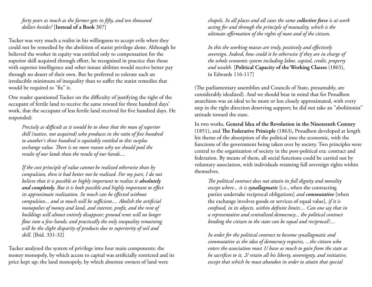*forty years as much as the farmer gets in fifty, and ten thousand dollars besides?* [**Instead of a Book** 307]

Tucker was very much a realist in his willingness to accept evils when they could not be remedied by the abolition of statist privilege alone. Although he believed the worker in equity was entitled only to compensation for the superior skill acquired through effort, he recognized in practice that those with superior intelligence and other innate abilities would receive better pay through no desert of their own. But he preferred to tolerate such an irreducible minimum of inequality than to suffer the statist remedies that would be required to "fix" it.

One reader questioned Tucker on the difficulty of justifying the right of the occupant of fertile land to receive the same reward for three hundred days' work, that the occupant of less fertile land received for five hundred days. He responded:

*Precisely as difficult as it would be to show that the man of superior skill (native, not acquired) who produces in the ratio of five hundred to another's three hundred is equitably entitled to this surplus exchange value. There is no more reason why we should pool the results of our lands than the results of our hands....*

*If the cost principle of value cannot be realized otherwise than by compulsion, then it had better not be realized. For my part, I do not believe that it is possible or highly important to realize it absolutely and completely. But it is both possible and highly important to effect its approximate realization. So much can be effected without compulsion... and so much will be sufficient.... Abolish the artificial monopolies of money and land, and interest, profit, and the rent of buildings will almost entirely disappear; ground rents will no longer flow into a few hands; and practically the only inequality remaining will be the slight disparity of products due to superiority of soil and skill.* [Ibid. 331-32]

Tucker analyzed the system of privilege into four main components: the money monopoly, by which access to capital was artificially restricted and its price kept up; the land monopoly, by which absentee owners of land were

*chapels. In all places and all cases the same collective force is at work acting for and through the principle of mutuality, which is the ultimate affirmation of the rights of man and of the citizen.*

*In this the working masses are truly, positively and effectively sovereign. Indeed, how could it be otherwise if they are in charge of the whole economic system including labor, capital, credit, property and wealth.* [**Political Capacity of the Working Classes** (1865), in Edwards 116-117]

(The parliamentary assemblies and Councils of State, presumably, are considerably idealized). And we should bear in mind that for Proudhon anarchism was an ideal to be more or less closely approximated, with every step in the right direction deserving support; he did not take an "abolitionist" attitude toward the state.

In two works, **General Idea of the Revolution in the Nineteenth Century** (1851)**,** and **The Federative Prinicple** (1863)**,** Proudhon developed at length his theme of the absorption of the political into the economic, with the functions of the government being taken over by society. Two principles were central to the organization of society in the post-political era: contract and federation. By means of them, all social functions could be carried out by voluntary association, with individuals retaining full sovereign rights within themselves.

*The political contract does not attain its full dignity and morality except where... it is synallagmatic* [i.e., when the contracting parties undertake reciprocal obligations] *and commutative* [when the exchange involves goods or services of equal value]*, if it is confined, in its objects, within definite limits.... Can one say that in a representative and centralized democracy... the political contract binding the citizen to the state can be equal and reciprocal?....*

*In order for the political contract to become synallagmatic and commutative as the idea of democracy requires, ...the citizen who enters the association must 1/ have as much to gain from the state as he sacrifices to it, 2/ retain all his liberty, sovereignty, and initiative, except that which he must abandon in order to attain that special*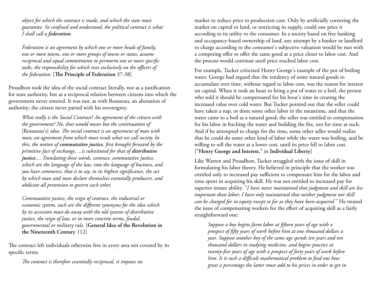*object for which the contract is made, and which the state must guarantee. So confined and understood, the political contract is what I shall call a federation.*

*Federation is an agreement by which one or more heads of family, one or more towns, one or more groups of towns or states, assume reciprocal and equal commitments to permorm one or more specific tasks, the responsibility for which rests exclusively on the officers of the federation.* [**The Principle of Federation** 37-38]

Proudhon took the idea of the social contract literally, not as a justification for state authority, but as a reciprocal relation between citizens into which the government never entered. It was not, as with Rousseau, an alienation of authority; the citizen never parted with his sovereignty.

*What really is the Social Contract? An agreement of the citizen with the government? No, that would mean but the continuation of* [Rousseau's] *idea. The social contract is an agreement of man with man; an agreement from which must result what we call society. In this, the notion of commutative justice, first brought forward by the primitive fact of exchange, ...is substituted for that of distributive justice.... Translating these words, contract, commutative justice, which are the language of the law, into the language of business, and you have commerce, that is to say, in its highest significance, the act by which man and man declare themselves essentially producers, and abdicate all pretension to govern each other.*

*Commutative justice, the reign of contract, the industrial or economic system, such are the different synonyms for the idea which by its accession must do away with the old systems of distributive justice, the reign of law, or in more concrete terms, feudal, governmental or military rule.* [**General Idea of the Revolution in the Nineteenth Century** 112]

The contract left individuals otherwise free in every area not covered by its specific terms.

*The contract is therefore essentially reciprocal, it imposes no* 

market to reduce price to production cost. Only by artificially cornering the market on capital or land, or restricting its supply, could one price it according to its utility to the consumer. In a society based on free banking and occupancy-based ownership of land, any attempt by a banker or landlord to charge according to the consumer's subjective valuation would be met with a competing offer to offer the same good at a price closer to labor cost. And the process would continue until price reached labor cost.

For example, Tucker criticized Henry George's example of the pot of boiling water. George had argued that the tendency of some natural goods to accumulate over time, without regard to labor cost, was the reason for interest on capital. When it took an hour to bring a pot of water to a boil, the person who sold it should be compensated for his hour's time in creating the increased value over cold water. But Tucker pointed out that the seller could have taken a nap, or done some other labor in the meantime, and that the water came to a boil as a natural good; the seller was entitled to compensation for his labor in fetching the water and building the fire, not for time as such. And if he attempted to charge for the time, some other seller would realize that he could do some other kind of labor while the water was boiling, and be willing to sell the water at a lower cost, until its price fell to labor cost. [**"Henry George and Interest,"** in **Individual Liberty**]

Like Warren and Proudhon, Tucker struggled with the issue of skill in formulating his labor theory. He believed in principle that the worker was entitled only to increased pay sufficient to compensate him for the labor and time spent in acquiring his skill. He was not entitled to increased pay for superior innate ability. "*I have never maintained that judgment and skill are less important than labor; I have only maintained that neither judgment nor skill can be charged for in equity except so far as they have been acquired.*" He treated the issue of compensating workers for the effort of acquiring skill as a fairly straightforward one:

*Suppose a boy begins farm labor at fifteen years of age with a prospect of fifty years of work before him at one thousand dollars a year. Suppose another boy of the same age spends ten years and ten thousand dollars in studying medicine, and begins practice at twenty-five years of age with a prospect of forty years of work before him. Is it such a difficult mathematical problem to find out how great a percentage the latter must add to his prices in order to get in*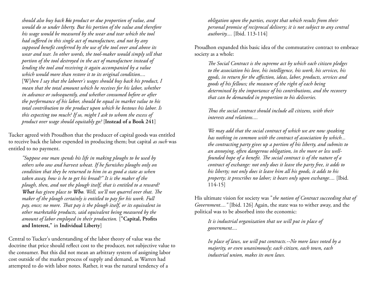*should also buy back his product or due proportion of value, and would do so under liberty. But his portion of the value and therefore his wage would be measured by the wear and tear which the tool had suffered in this single act of manufacture, and not by any supposed benefit conferred by the use of the tool over and above its wear and tear. In other words, the tool-maker would simply sell that portion of the tool destroyed in the act of manufacture instead of lending the tool and receiving it again accompanied by a value which would more than restore it to its original condition....* [W]*hen I say that the laborer's wages should buy back his product, I mean that the total amount which he receives for his labor, whether in advance or subsequently, and whether consumed before or after the performance of his labor, should be equal in market value to his total contribution to the product upon which he bestows his labor. Is this expecting too much? If so, might I ask to whom the excess of product over wage should equitably go?* [**Instead of a Book 241**]

Tucker agreed with Proudhon that the producer of capital goods was entitled to receive back the labor expended in producing them; but capital *as such* was entitled to no payment.

*"Suppose one man spends his life in making ploughs to be used by others who sow and harvest wheat. If he furnishes ploughs only on condition that they be returned to him in as good a state as when taken away, how is he to get his bread?" It is the maker of the plough, then, and not the plough itself, that is entitled to a reward? What has given place to Who. Well, we'll not quarrel over that. The maker of the plough certainly is entitled to pay for his work. Full pay, once; no more. That pay is the plough itself, or its equivalent in other marketable products, said equivalent being measured by the amount of labor employed in their production.* [**"Capital, Profits and Interest,"** in **Individual Liberty**]

Central to Tucker's understanding of the labor theory of value was the doctrine that price should reflect cost to the producer, not subjective value to the consumer. But this did not mean an arbitrary system of assigning labor cost outside of the market process of supply and demand, as Warren had attempted to do with labor notes. Rather, it was the natural tendency of a

*obligation upon the parties, except that which results from their personal promise of reciprocal delivery; it is not subject to any central authority....* [Ibid. 113-114]

Proudhon expanded this basic idea of the commutative contract to embrace society as a whole:

*The Social Contract is the supreme act by which each citizen pledges to the association his love, his intelligence, his work, his services, his ggods, in return for the affection, ideas, labor, products, services and goods of his fellows; the measure of the right of each being determined by the importance of his contributions, and the recovery that can be demanded in proportion to his deliveries.*

*Thus the social contract should include all citizens, with their interests and relations....*

*We may add that the social contract of which we are now speaking has nothing in common with the contract of association by which... the contracting party gives up a portion of his liberty, and submits to an annoying, often dangerous obligation, in the more or less wellfounded hope of a benefit. The social contract is of the nature of a contract of exchange: not only does it leave the party free, it adds to his liberty; not only does it leave him all his goods, it adds to his property; it prescribes no labor; it bears only upon exchange....* [Ibid. 114-15]

His ultimate vision for society was "*the notion of Contract succeeding that of Government...."* [Ibid. 126] Again, the state was to wither away, and the political was to be absorbed into the economic:

*It is industrial organization that we will put in place of government....*

*In place of laws, we will put contracts.--No more laws voted by a majority, or even unanimously; each citizen, each town, each industrial union, makes its own laws.*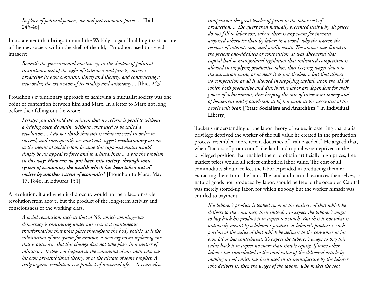*In place of political powers, we will put economic forces....* [Ibid. 245-46]

In a statement that brings to mind the Wobbly slogan "building the structure of the new society within the shell of the old," Proudhon used this vivid imagery:

*Beneath the governmental machinery, in the shadow of political institutions, out of the sight of statesmen and priests, society is producing its own organism, slowly and silently; and constructing a new order, the expression of its vitality and autonomy....* [Ibid. 243]

Proudhon's evolutionary approach to achieving a mutualist society was one point of contention between him and Marx. In a letter to Marx not long before their falling out, he wrote:

*Perhaps you still hold the opinion that no reform is possible without a helping coup de main, without what used to be called a revolution.... I do not think that this is what we need in order to succeed, and consequently we must not suggest revolutionary action as the means of social refom because this supposed means would simply be an appeal to force and to arbitrariness.... I put the problem in this way: How can we put back into society, through some system of economics, the wealth which has been taken out of society by another system of economics?* [Proudhon to Marx, May 17, 1846, in Edwards 151]

A revolution, if and when it did occur, would not be a Jacobin-style revolution from above, but the product of the long-term activity and consciousness of the working class.

*A social revolution, such as that of '89, which working-class democracy is continuing under our eyes, is a spontaneous transformation that takes place throughout the body politic. It is the substitution of one system for another, a new organism replacing one that is outworn. But this change does not take place in a matter of minutes.... It does not happen at the command of one man who has his own pre-established theory, or at the dictate of some prophet. A truly organic revolution is a product of universal life.... It is an idea* 

*competition the great leveler of prices to the labor cost of production.... The query then naturally presented itself why all prices do not fall to labor cost; where there is any room for incomes acquired otherwise than by labor; in a word, why the usurer, the receiver of interest, rent, and profit, exists. The answer was found in the present one-sidedness of competition. It was discovered that capital had so manipulated legislation that unlimited competition is allowed in supplying productive labor, thus keeping wages down to the starvation point, or as near it as practicable; ...but that almost no competition at all is allowed in supplying capital, upon the aid of which both productive and distributive labor are dependent for their power of achievement, thus keeping the rate of interest on money and of house-rent and ground-rent as high a point as the necessities of the people will bear.* ["**State Socialism and Anarchism,**" in **Individual Liberty**]

Tucker's understanding of the labor theory of value, in asserting that statist privilege deprived the worker of the full value he created in the production process, resembled more recent doctrines of "value-added." He argued that, when "factors of production" like land and capital were deprived of the privileged position that enabled them to obtain artificially high prices, free market prices would all reflect embodied labor value. The cost of all commodities should reflect the labor expended in producing them or extracting them from the land. The land and natural resources themselves, as natural goods not produced by labor, should be free to the occupier. Capital was merely stored-up labor, for which nobody but the worker himself was entitled to payment.

*If a laborer's product is looked upon as the entirety of that which he delivers to the consumer, then indeed... to expect the laborer's wages to buy back his product is to expect too much. But that is not what is ordinarily meant by a laborer's product. A laborer's product is such portion of the value of that which he delivers to the consumer as his own labor has contributed. To expect the laborer's wages to buy this value back is to expect no more than simple equity. If some other laborer has contributed to the total value of the delivered article by making a tool which has been used in its manufacture by the laborer who delivers it, then the wages of the laborer who makes the tool*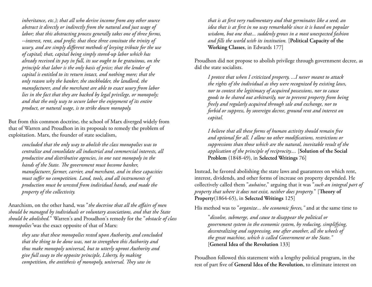*inheritance, etc.); that all who derive income from any other source abstract it directly or indirectly from the natural and just wage of labor; that this abstracting process generally takes one of three forms, --interest, rent, and profit; that these three consitute the trinity of usury, and are simply different methods of levying tribute for the use of capital; that, capital being simply stored-up labor which has already received its pay in full, its use ought to be gratuitous, on the principle that labor is the only basis of price; that the lender of capital is entitled to its return intact, and nothing more; that the only reason why the banker, the stockholder, the landlord, the manufacturer, and the merchant are able to exact usury from labor lies in the fact that they are backed by legal privilege, or monopoly; and that the only way to secure labor the enjoyment of its entire product, or natural wage, is to strike down monopoly.*

But from this common doctrine, the school of Marx diverged widely from that of Warren and Proudhon in its proposals to remedy the problem of exploitation. Marx, the founder of state socialism,

*concluded that the only way to abolish the class monopolies was to centralize and consolidate all industrial and commercial interests, all productive and distributive agencies, in one vast monopoly in the hands of the State. The government must become banker, manufacturer, farmer, carrier, and merchant, and in these capacities must suffer no competition. Land, tools, and all instruments of production must be wrested from individual hands, and made the property of the collectivity.*

Anarchism, on the other hand, was "*the doctrine that all the affairs of men should be managed by individuals or voluntary associations, and that the State should be abolished.*" Warren's and Proudhon's remedy for the "*obstacle of class monopolies"*was the exact opposite of that of Marx:

*they saw that these monopolies rested upon Authority, and concluded that the thing to be done was, not to strengthen this Authority and thus make monopoly universal, but to utterly uproot Authority and give full sway to the opposite principle, Liberty, by making competition, the antithesis of monopoly, universal. They saw in* 

*that is at first very rudimentary and that germinates like a seed; an idea that is at first in no way remarkable since it is based on popular wisdom, but one that... suddenly grows in a most unexpected fashion and fills the world with its institution.* [**Political Capacity of the Working Classes**, in Edwards 177]

Proudhon did not propose to abolish privilege through government decree, as did the state socialists.

*I protest that when I criticized property, ...I never meant to attack the rights of the individual as they were recognized by existing laws, nor to contest the legitimacy of acquired possessions, nor to cause goods to be shared out arbitrarily, nor to prevent property from being freely and regularly acquired through sale and exchange, nor to forbid or suppress, by sovereign decree, ground rent and interest on capital.*

*I believe that all these forms of human activity should remain free and optional for all. I allow no other modifications, restrictions or suppressions than those which are the natural, inevitable result of the application of the principle of reciprocity....* [**Solution of the Social Problem** (1848-49), in **Selected Writings** 76]

Instead, he favored abolishing the state laws and guarantees on which rent, interest, dividends, and other forms of increase on property depended. He collectively called them "*aubaine*," arguing that it was "*such an integral part of property that where it does not exist, neither does property.*" [**Theory of Property**(1864-65), in **Selected Writings** 125]

His method was to "*organize... the economic forces,"* and at the same time to

"*dissolve, submerge, and cause to disappear the political or government system in the economic system, by reducing, simplifying, decentralizing and suppressing, one after another, all the wheels of the great machine, which is called Government or the State."* [**General Idea of the Revolution** 133]

Proudhon followed this statement with a lengthy political program, in the rest of part five of **General Idea of the Revolution**, to eliminate interest on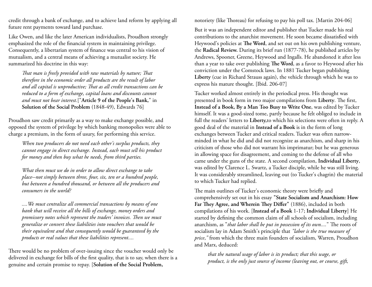credit through a bank of exchange, and to achieve land reform by applying all future rent payments toward land purchase.

Like Owen, and like the later American individualists, Proudhon strongly emphasized the role of the financial system in maintaining privilege. Consequently, a libertarian system of finance was central to his vision of mutualism, and a central means of achieving a mutualist society. He summarized his doctrine in this way:

*That man is freely provided with raw materials by nature; That therefore in the economic order all products are the result of labor and all capital is unproductive; That as all credit transactions can be reduced to a form of exchange, capital loans and discounts cannot and must not bear interest.*["**Article 9 of the People's Bank,**" in **Solution of the Social Problem** (1848-49), Edwards 76]

Proudhon saw credit primarily as a way to make exchange possible, and opposed the system of privilege by which banking monopolies were able to charge a premium, in the form of usury, for performing this service.

*When two producers do not need each other's surplus products, they cannot engage in direct exchange. Instead, each must sell his product for money and then buy what he needs, from third parties.*

*What then must we do in order to allow direct exchange to take place--not simply between three, four, six, ten or a hundred people, but between a hundred thousand, or between all the producers and consumers in the world?*

*....We must centralize all commercial transactions by means of one bank that will receive all the bills of exchange, money orders and promissory notes which represent the traders' invoices. Then we must generalize or convert these liabilities into vouchers that would be their equivalent and that consequently would be guaranteed by the products or real values that these liabilities represent....*

There would be no problem of over-issuing since the voucher would only be delivered in exchange for bills of the first quality, that is to say, when there is a genuine and certain promise to repay. [**Solution of the Social Problem,** 

notoriety (like Thoreau) for refusing to pay his poll tax. [Martin 204-06]

But it was an independent editor and publisher that Tucker made his real contributions to the anarchist movement. He soon became dissatisfied with Heywood's policies at **The Word**, and set out on his own publishing venture, the **Radical Review.** During its brief run (1877-78), he published articles by Andrews, Spooner, Greene, Heywood and Ingalls. He abandoned it after less than a year to take over publishing **The Word**, as a favor to Heywood after his conviction under the Comstock laws. In 1881 Tucker began publishing **Liberty** (cue in Richard Strauss again), the vehicle through which he was to express his mature thought. [Ibid. 206-07]

Tucker worked almost entirely in the periodical press. His thought was presented in book form in two major compilations from **Liberty**. The first, **Instead of a Book, By a Man Too Busy to Write One**, was edited by Tucker himself. It was a good-sized tome, partly because he felt obliged to include in full the readers' letters to **Liberty,**to which his selections were often in reply. A good deal of the material in **Instead of a Book** is in the form of long exchanges between Tucker and critical readers. Tucker was often narrowminded in what he did and did not recognize as anarchism, and sharp in his criticism of those who did not warrant his imprimatur; but he was generous in allowing space for disagreement, and coming to the defense of all who came under the guns of the state. A second compilation, **Individual Liberty**, was edited by Clarence L. Swartz, a Tucker disciple, while he was still living. It was considerably streamlined, leaving out (to Tucker's chagrin) the material to which Tucker had replied.

The main outlines of Tucker's economic theory were briefly and comprehensively set out in his essay **"State Socialism and Anarchism: How Far They Agree, and Wherein They Differ"** (1886), included in both compilations of his work. [**Instead of a Book** 1-17; **Individual Liberty**] He started by defining the common claim of all schools of socialism, including anarchism, as "*that labor shall be put in possession of its own....*" The roots of socialism lay in Adam Smith's principle that *"labor is the true measure of price*,*"* from which the three main founders of socialism, Warren, Proudhon and Marx, deduced:

*that the natural wage of labor is its product; that this wage, or product, is the only just source of income (leaving out, or course, gift,*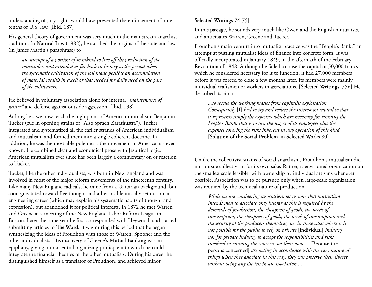understanding of jury rights would have prevented the enforcement of ninetenths of U.S. law. [Ibid. 187]

His general theory of government was very much in the mainstream anarchist tradition. In **Natural Law** (1882), he ascribed the origins of the state and law (in James Martin's paraphrase) to

*an attempt of a portion of mankind to live off the production of the remainder, and extended as far back in history as the period when the systematic cultivation of the soil made possible an accumulation of material wealth in excell of that needed for daily need on the part of the cultivators.*

He believed in voluntary association alone for internal "*maintenance of justice"* and defense against outside aggression. [Ibid. 198]

At long last, we now reach the high point of American mutualism: Benjamin Tucker (cue in opening strains of "Also Sprach Zarathustra"). Tucker integrated and systematized all the earlier strands of American individualism and mutualism, and formed them into a single coherent doctrine. In addition, he was the most able polemicist the movement in America has ever known. He combined clear and economical prose with Jesuitical logic. American mutualism ever since has been largely a commentary on or reaction to Tucker.

Tucker, like the other individualists, was born in New England and was involved in most of the major reform movements of the nineteenth century. Like many New England radicals, he came from a Unitarian background, but soon gravitated toward free thought and atheism. He initially set out on an engineering career (which may explain his systematic habits of thought and expression), but abandoned it for political interests. In 1872 he met Warren and Greene at a meeting of the New England Labor Reform League in Boston. Later the same year he first corresponded with Heywood, and started submitting articles to **The Word.** It was during this period that he began synthesizing the ideas of Proudhon with those of Warren, Spooner and the other individualists. His discovery of Greene's **Mutual Banking** was an epiphany, giving him a central organizing prinicple into which he could integrate the financial theories of the other mutualists. During his career he distinguished himself as a translator of Proudhon, and achieved minor

#### **Selected Writings** 74-75]

In this passage, he sounds very much like Owen and the English mutualists, and anticipates Warren, Greene and Tucker.

Proudhon's main venture into mutualist practice was the "People's Bank," an attempt at putting mutualist ideas of finance into concrete form. It was officially incorporated in January 1849, in the aftermath of the February Revolution of 1848. Although he failed to raise the capital of 50,000 francs which he considered necessary for it to function, it had 27,000 members before it was forced to close a few months later. Its members were mainly individual craftsmen or workers in associations. [**Selected Writings**, 75n] He described its aim as

*...to rescue the working masses from capitalist exploitation. Consequently* [I] *had to try and reduce the interest on capital so that it represents simply the expenses which are necessary for running the People's Bank, that is to say, the wages of its employees plus the expenses covering the risks inherent in any operation of this kind.* [**Solution of the Social Problem**, in **Selected Works** 80]

Unlike the collectivist strains of social anarchism, Proudhon's mutualism did not pursue collectivism for its own sake. Rather, it envisioned organization on the smallest scale feasible, with ownership by individual artisans whenever possible. Association was to be pursued only when large-scale organization was required by the technical nature of production.

*While we are considering association, let us note that mutualism intends men to associate only insofar as this is required by the demands of production, the cheapness of goods, the needs of consumption, the cheapness of goods, the needs of consumption and the security of the producers themselves, i.e. in those cases where it is not possible for the public to rely on private* [individual] *industry, nor for private industry to accept the responsibilities and risks involved in running the concerns on their own....* [Because the persons concerned] *are acting in accordance with the very nature of things when they associate in this way, they can preserve their liberty without being any the less in an association....*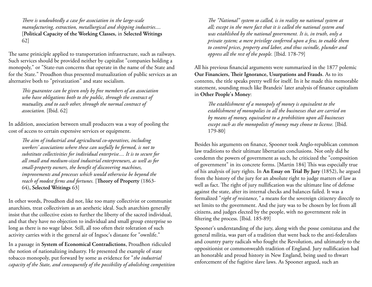*There is undoubtedly a case for association in the large-scale manufacturing, extraction, metallurgical and shipping industries....* [**Political Capacity of the Working Classes,** in **Selected Writings** 62]

The same priniciple applied to transportation infrastructure, such as railways. Such services should be provided neither by capitalist "companies holding a monopoly," or "State-run concerns that operate in the name of the State and for the State." Proudhon thus presented mutualization of public services as an alternative both to "privatization" and state socialism.

*This guarantee can be given only by free members of an association who have obligations both to the public, through the contract of mutuality, and to each other, through the normal contract of association.* [Ibid. 62]

In addition, association between small producers was a way of pooling the cost of access to certain expensive services or equipment.

*The aim of industrial and agricultural co-operatives, including workers' associations where these can usefully be formed, is not to substitute collectivities for individual enterprise.... It is to secure for all small and medium-sized industrial enterpreneurs, as well as for small-property owners, the benefit of discovering machines, improvements and processes which would otherwise be beyond the reach of modest firms and fortunes.* [**Theory of Property** (1863- 64)**, Selected Writings** 63]

In other words, Proudhon did not, like too many collectivist or communist anarchists, treat collectivism as an aesthetic ideal. Such anarchists generally insist that the collective exists to further the liberty of the sacred individual, and that they have no objection to individual and small group enterprise so long as there is no wage labor. Still, all too often their toleration of such activity carries with it the general air of Ingsoc's distaste for "ownlife."

In a passage in **System of Economical Contradictions**, Proudhon ridiculed the notion of nationalizing industry. He presented the example of state tobacco monopoly, put forward by some as evidence for "*the industrial capacity of the State, and consequently of the possibility of abolishing competition* 

*The "National" system so called, is in reality no national system at all; except in the mere fact that it is called the national system and was established by the national government. It is, in truth, only a private system; a mere privilege conferred upon a few, to enable them to control prices, property and labor, and thus swindle, plunder and oppress all the rest of the people.* [Ibid. 178-79]

All his previous financial arguments were summarized in the 1877 polemic **Our Financiers, Their Ignorance, Usurpations and Frauds**. As to its contents, the title speaks pretty well for itself. In it he made this memorable statement, sounding much like Brandeis' later analysis of finance capitalism in **Other People's Money**:

*The establishment of a monopoly of money is equivalent to the establishment of monopolies in all the businesses that are carried on by means of money, equivalent to a prohibition upon all businesses except such as the monopolists of money may choose to license.* [Ibid. 179-80]

Besides his arguments on finance, Spooner took Anglo-republican common law traditions to their ultimate libertarian conclusions. Not only did he condemn the powers of government as such, he criticized the "composition of government" in its concrete forms. [Martin 184] This was especially true of his analysis of jury rights. In **An Essay on Trial By Jury** (1852), he argued from the history of the jury for an absolute right to judge matters of law as well as fact. The right of jury nullification was the ultimate line of defense against the state, after its internal checks and balances failed. It was a formalized "*right of resistance,"* a means for the sovereign citizenry directly to set limits to the government. And the jury was to be chosen by lot from all citizens, and judges elected by the people, with no government role in filtering the process. [Ibid. 185-89]

Spooner's understanding of the jury, along with the posse comitatus and the general militia, was part of a tradition that went back to the anti-federalists and country party radicals who fought the Revolution, and ultimately to the oppositionist or commonwealth tradition of England. Jury nullification had an honorable and proud history in New England, being used to thwart enforcement of the fugitive slave laws. As Spooner argued, such an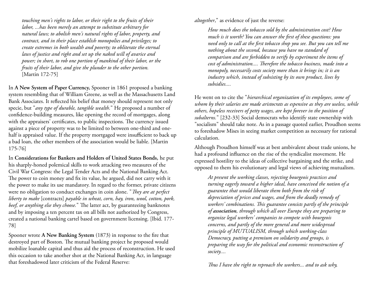*touching men's rights to labor, or their right to the fruits of their labor, ...has been merely an attempt to substitute arbitrary for natural laws; to abolish men's natural rights of labor, property, and contract, and in their place establish monopolies and privileges; to create extremes in both wealth and poverty; to obliterate the eternal laws of justice and right and set up the naked will of avarice and power; in short, to rob one portion of mankind of their labor, or the fruits of their labor, and give the plunder to the other portion.* [Martin 172-75]

In **A New System of Paper Currency,** Spooner in 1861 proposed a banking system resembling that of William Greene, as well as the Massachusetts Land Bank Associates. It reflected his belief that money should represent not only specie, but "*any type of durable, tangible wealth.*" He proposed a number of confidence-building measures, like opening the record of mortgages, along with the appraisers' certificates, to public inspections. The currency issued against a piece of property was to be limited to between one-third and onehalf is appraised value. If the property mortgaged were insufficient to back up a bad loan, the other members of the association would be liable. [Martin 175-76]

In **Considerations for Bankers and Holders of United States Bonds,** he put his sharply-honed polemical skills to work attacking two measures of the Civil War Congress: the Legal Tender Acts and the National Banking Act. The power to coin money and fix its value, he argued, did not carry with it the power to make its use mandatory. In regard to the former, private citizens were no obligation to conduct exchanges in coin alone. "*They are at perfect liberty to make* [contracts] *payable in wheat, corn, hay, iron, wool, cotton, pork, beef, or anything else they choose.*" The latter act, by guaranteeing banknotes and by imposing a ten percent tax on all bills not authorized by Congress, created a national banking cartel based on government licensing. [Ibid. 177- 78]

Spooner wrote **A New Banking System** (1873) in response to the fire that destroyed part of Boston. The mutual banking project he proposed would mobilize loanable capital and thus aid the process of reconstruction. He used this occasion to take another shot at the National Banking Act, in language that foreshadowed later criticism of the Federal Reserve:

*altogether*," as evidence of just the reverse:

*How much does the tobacco sold by the administration cost? How much is it worth? You can answer the first of these questions: you need only to call at the first tobacco shop you see. But you can tell me nothing about the second, because you have no standard of comparison and are forbidden to verify by experiment the items of cost of administration.... Therefore the tobacco business, made into a monopoly, necessarily costs society more than it brings in; it is an industry which, instead of subsisting by its own product, lives by subsidies....*

He went on to cite the "*hierarchical organization of its employees, some of whom by their salaries are made aristocrats as espensive as they are useless, while others, hopeless receivers of petty wages, are kept forever in the position of subalterns.*" [232-33] Social democrats who identify state ownership with "socialism" should take note. As in a passage quoted earlier, Proudhon seems to foreshadow Mises in seeing market competition as necessary for rational calculation.

Although Proudhon himself was at best ambivalent about trade unions, he had a profound influence on the rise of the syndicalist movement. He expressed hostility to the ideas of collective bargaining and the strike, and opposed to them his evolutionary and legal views of achieving mutualism.

*At present the working classes, rejecting bourgeois practices and turning eagerly toward a higher ideal, have conceived the notion of a guarantee that would liberate them both from the risk of depreciation of prices and wages, and from the deadly remedy of workers' combinations. This guarantee consists partly of the principle of association, through which all over Europe they are preparing to organize legal workers' companies to compete with bourgeois concerns, and partly of the more general and more widespread principle of MUTUALISM, through which working-class Democracy, putting a premium on solidarity and groups, is preparing the way for the political and economic reconstruction of society....*

*Thus I have the right to reproach the workers... and to ask why,*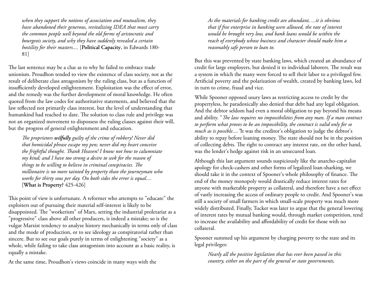*when they support the notions of association and mutualism, they have abandoned their generous, revitalizing IDEA that must carry the common people well beyond the old forms of aristocratic and bourgeois society, and why they have suddenly revealed a certain hostility for their masters....* [**Political Capacity**, in Edwards 180- 81]

The last sentence may be a clue as to why he failed to embrace trade unionism. Proudhon tended to view the existence of class society, not as the result of deliberate class antagonism by the ruling class, but as a function of insufficiently developed enlightenment. Exploitation was the effect of error, and the remedy was the further development of moral knowledge. He often quoted from the law codes for authoritative statements, and believed that the law reflected not primarily class interest, but the level of understanding that humankind had reached to date. The solution to class rule and privilege was not an organized movement to dispossess the ruling classes against their will, but the progress of general enlightenment and education.

*The proprietors wilfully guilty of the crime of robbery! Never did that homicidal phrase escape my pen; never did my heart conceive the frightful thought. Thank Heaven! I know not how to calumniate my kind; and I have too strong a desire to seek for the reason of things to be willing to believe in criminal conspiracies. The millionaire is no more tainted by property than the journeyman who works for thirty sous per day. On both sides the error is equal....* [**What is Property?** 425-426]

This point of view is unfortunate. A reformer who attempts to "educate" the exploiters out of pursuing their material self-interest is likely to be disappointed. The "workerism" of Marx, setting the industrial proletariat as a "progressive" class above all other producers, is indeed a mistake; so is the vulgar Marxist tendency to analyze history mechanically in terms only of class and the mode of production, or to see ideology as conspiratorial rather than sincere. But to see our goals purely in terms of enlightening "society" as a whole, while failing to take class antagonism into account as a basic reality, is equally a mistake.

At the same time, Proudhon's views coincide in many ways with the

*As the materials for banking credit are abundant, ...it is obvious that if free enterprise in banking were allowed, the rate of interest would be brought very low, and bank loans would be within the reach of everybody whose business and character should make him a reasonably safe person to loan to.*

But this was prevented by state banking laws, which created an abundance of credit for large employers, but denied it to individual laborers. The result was a system in which the many were forced to sell their labor to a privileged few. Artificial poverty and the polarization of wealth, created by banking laws, led in turn to crime, fraud and vice.

While Spooner opposed usury laws as restricting access to credit by the propertyless, he paradoxically also denied that debt had any legal obligation. And the debtor seldom had even a moral obligation to pay beyond his means and ability. "*The law requires no impossibilities from any man. If a man contract to perform what proves to be an impossibility, the contract is valid only for so much as is possible...."*It was the creditor's obligation to judge the debtor's ability to repay before loaning money. The state should not be in the position of collecting debts. The right to contract any interest rate, on the other hand, was the lender's hedge against risk in an unsecured loan.

Although this last argument sounds suspiciously like the anarcho-capitalist apology for check-cashers and other forms of legalized loan-sharking, we should take it in the context of Spooner's whole philosophy of finance. The end of the money monopoly would drastically reduce interest rates for anyone with marketable property as collateral, and therefore have a net effect of vastly increasing the access of ordinary people to credit. And Spooner's was still a society of small farmers in which small-scale property was much more widely distributed. Finally, Tucker was later to argue that the general lowering of interest rates by mutual banking would, through market competition, tend to increase the availability and affordability of credit for those with no collateral.

Spooner summed up his argument by charging poverty to the state and its legal privileges:

*Nearly all the positive legislation that has ever been passed in this country, either on the part of the general or state governments,*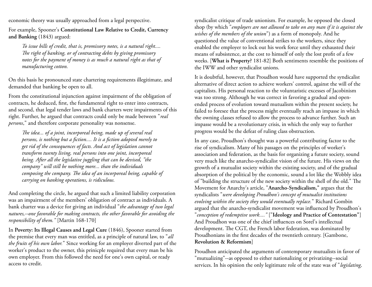economic theory was usually approached from a legal perspective.

For example, Spooner's **Constitutional Law Relative to Credit, Currency and Banking** (1843) argued:

*To issue bills of credit, that is, promissory notes, is a natural right.... The right of banking, or of contracting debts by giving promissory notes for the payment of money is as much a natural right as that of manufacturing cotton.*

On this basis he pronounced state chartering requirements illegitimate, and demanded that banking be open to all.

From the constitutional injunction against impairment of the obligation of contracts, he deduced, first, the fundamental right to enter into contracts, and second, that legal tender laws and bank charters were impairments of this right. Further, he argued that contracts could only be made between "*real persons*," and therefore corporate personality was nonsense.

*The idea... of a joint, incorporeal being, made up of several real persons, is nothing but a fiction.... It is a fiction adopted merely to get rid of the consequences of facts. And act of legislation cannot transform twenty living, real persons into one joint, incorporeal being. After all the legislative juggling that can be devised, "the company" will still be nothing more... than the individuals composing the company. The idea of an incorporeal being, capable of carrying on banking operations, is ridiculous.*

And completing the circle, he argued that such a limited liability corporation was an impairment of the members' obligation of contract as individuals. A bank charter was a device for giving an individual "*the advantage of two legal natures,--one favorable for making contracts, the other favorable for avoiding the responsibility of them."* [Martin 168-170]

In **Poverty: Its Illegal Causes and Legal Cure** (1846), Spooner started from the premise that every man was entitled, as a principle of natural law, to "*all the fruits of his own labor.*" Since working for an employer diverted part of the worker's product to the owner, this prinicple required that every man be his own employer. From this followed the need for one's own capital, or ready access to credit.

syndicalist critique of trade unionism. For example, he opposed the closed shop (by which "*employers are not allowed to take on any man if it is against the wishes of the members of the union*") as a form of monopoly. And he questioned the value of conventional strikes to the workers, since they enabled the employer to lock out his work force until they exhausted their means of subsistence, at the cost to himself of only the lost profit of a few weeks. [**What is Property?** 181-82] Both sentiments resemble the positions of the IWW and other syndicalist unions.

It is doubtful, however, that Proudhon would have supported the syndicalist alternative of direct action to achieve workers' control, against the will of the capitalists. His personal reaction to the voluntaristic excesses of Jacobinism was too strong. Although he was correct in favoring a gradual and openended process of evolution toward mutualism within the present society, he failed to foresee that the process might eventually reach an impasse in which the owning classes refused to allow the process to advance further. Such an impasse would be a revolutionary crisis, in which the only way to further progress would be the defeat of ruling class obstruction.

In any case, Proudhon's thought was a powerful contributing factor to the rise of syndicalism. Many of his passages on the principles of worker's association and federation, as the basis for organizing a future society, sound very much like the anarcho-syndicalist vision of the future. His views on the growth of a mutualist society within the existing society, and of the gradual absorption of the political by the economic, sound a lot like the Wobbly idea of "building the structure of the new society within the shell of the old." The Movement for Anarchy's article, "**Anarcho-Syndicalism,"** argues that the syndicalists "*were developing Proudhon's concept of mutualist institutions evolving within the society they would eventually replace.*" Richard Gombin argued that the anarcho-syndicalist movement was influenced by Proudhon's "*conception of redemptive work...."* ["**Ideology and Practice of Contestation"**] And Proudhon was one of the chief influences on Sorel's intellectual development. The CGT, the French labor federation, was dominated by Proudhonians in the first decades of the twentieth century. [Gambone, **Revolution & Reformism**]

Proudhon anticipated the arguments of contemporary mutualists in favor of "mutualizing"--as opposed to either nationalizing or privatizing--social services. In his opinion the only legitimate role of the state was of "*legislating,*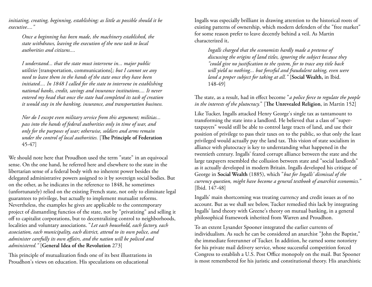*initiating, creating, beginning, establishing; as little as possible should it be executive...."*

*Once a beginning has been made, the machinery established, the state withdraws, leaving the execution of the new task to local authorities and citizens....*

*I understand... that the state must intervene in... major public utilities* [transportation, communications]*; but I cannot see any need to leave them in the hands of the state once they have been initiated.... In 1848 I called for the state to intervene in establishing national banks, credit, savings and insurance institutions.... It never entered my head that once the state had completed its task of creation it would stay in the banking, insurance, and transportation business.*

*Nor do I except even military service from this argument; militias... pass into the hands of federal authorities only in time of war, and only for the purposes of war; otherwise, soldiers and arms remain under the control of local authorities.* [**The Principle of Federation** 45-47]

We should note here that Proudhon used the term "state" in an equivocal sense. On the one hand, he referred here and elsewhere to the state in the libertarian sense of a federal body with no inherent power besides the delegated administrative powers assigned to it by sovereign social bodies. But on the other, as he indicates in the reference to 1848, he sometimes (unfortunately) relied on the existing French state, not only to eliminate legal guarantees to privilege, but actually to implement mutualist reforms. Nevertheless, the examples he gives are applicable to the contemporary project of dismantling functios of the state, not by "privatizing" and selling it off to capitalist corporations, but to decentralizing control to neighborhoods, localities and voluntary associations. "*Let each household, each factory, each association, each municipality, each district, attend to its own police, and administer carefully its own affairs, and the nation will be policed and administered."* [**General Idea of the Revolution** 273]

This principle of mutualization finds one of its best illustrations in Proudhon's views on education. His speculations on educational

Ingalls was especially brilliant in drawing attention to the historical roots of existing patterns of ownership, which modern defenders of the "free market" for some reason prefer to leave decently behind a veil. As Martin characterized it,

*Ingalls charged that the economists hardly made a pretense of discussing the origins of land titles, ignoring the subject because they "could give no justification to the system, for to trace any title back will yield us nothing... but forceful and fraudulent taking, even were land a proper subject for taking at all."* [**Social Wealth,** in Ibid. 148-49]

The state, as a result, had in effect become "*a police force to regulate the people in the interests of the plutocracy.*" [**The Unrevealed Religion**, in Martin 152]

Like Tucker, Ingalls attacked Henry George's single tax as tantamount to transforming the state into a landlord. He believed that a class of "supertaxpayers" would still be able to control large tracts of land, and use their position of privilege to pass their taxes on to the public, so that only the least privileged would actually pay the land tax. This vision of state socialism in alliance with plutocracy is key to understanding what happened in the twentieth century. Ingalls' feared corrupt alliance between the state and the large taxpayers resembled the collusion between state and "social landlords" as it actually developed in modern Britain. Ingalls developed his critique of George in **Social Wealth** (1885), which "*but for Ingalls' dismissal of the currency question, might have become a general textbook of anarchist economics.*" [Ibid. 147-48]

Ingalls' main shortcoming was treating currency and credit issues as of no account. But as we shall see below, Tucker remedied this lack by integrating Ingalls' land theory with Greene's theory on mutual banking, in a general philosophical framework inherited from Warren and Proudhon.

To an extent Lysander Spooner integrated the earlier currents of individualism. As such he can be considered an anarchist "John the Baptist," the immediate forerunner of Tucker. In addition, he earned some notoriety for his private mail delivery service, whose successful competition forced Congress to establish a U.S. Post Office monopoly on the mail. But Spooner is most remembered for his juristic and constitutional theory. His anarchistic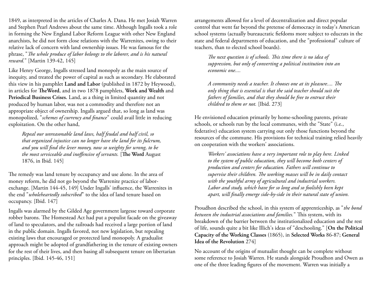1849, as interpreted in the articles of Charles A. Dana. He met Josiah Warren and Stephen Pearl Andrews about the same time. Although Ingalls took a role in forming the New England Labor Reform League with other New England anarchists, he did not form close relations with the Warrenites, owing to their relative lack of concern with land ownership issues. He was famous for the phrase, "*The whole produce of labor belongs to the laborer, and is his natural reward.*" [Martin 139-42, 145]

Like Henry George, Ingalls stressed land monopoly as the main source of inequity, and treated the power of capital as such as secondary. He elaborated this view in his pamphlet **Land and Labor** (published in 1872 by Heywood), in articles for **TheWord**, and in two 1878 pamphlets, **Work and Wealth** and **Periodical Business Crises.** Land, as a thing in limited quantity and not produced by human labor, was not a commodity and therefore not an appropriate object of ownership. Ingalls argued that, so long as land was monopolized, "*schemes of currency and finance*" could avail little in reducing exploitation. On the other hand,

*Repeal our unreasonable land laws, half feudal and half civil, so that organized injustice can no longer have the land for its fulcrum, and you will find the lever money, now so weighty for wrong, to be the most serviceable and inoffensive of servants.* [**The Word** August 1876, in Ibid. 145]

The remedy was land tenure by occupancy and use alone. In the area of money reform, he did not go beyond the Warrenite practice of laborexchange. [Martin 144-45, 149] Under Ingalls' influence, the Warrenites in the end "*wholeheartedly subscribed*" to the idea of land tenure based on occupancy. [Ibid. 147]

Ingalls was alarmed by the Gilded Age government largesse toward corporate robber barons. The Homestead Act had put a populist facade on the giveaway of land to speculators, and the railroads had received a large portion of land in the public domain. Ingalls favored, not new legislation, but repealing existing laws that encouraged or protected land monopoly. A gradualist approach might be adopted of grandfathering in the tenure of existing owners for the rest of their lives, and then basing all subsequent tenure on libertarian principles. [Ibid. 145-46, 151]

arrangements allowed for a level of decentralization and direct popular control that went far beyond the pretense of democracy in today's American school systems (actually bureaucratic fiefdoms more subject to educrats in the state and federal departments of education, and the "professional" culture of teachers, than to elected school boards).

*The next question is of schools. This time there is no idea of suppression, but only of converting a political institution into an economic one....*

*A community needs a teacher. It chooses one at its pleasure.... The only thing that is essential is that the said teacher should suit the fathers of families, and that they should be free to entrust their childred to them or not.* [Ibid. 273]

He envisioned education primarily by home-schooling parents, private schools, or schools run by the local communes, with the "State" (i.e., federative) education system carrying out only those functions beyond the resources of the commune. His provisions for technical training relied heavily on cooperation with the workers' associations.

*Workers' associations have a very important role to play here. Linked to the system of public education, they will become both centers of production and centers for education. Fathers will continue to supervise their children. The working masses will be in daily contact with the youthful army of agricultural and industrial workers. Labor and study, which have for so long and so foolishly been kept apart, will finally emerge side-by-side in their natural state of union.*

Proudhon described the school, in this system of apprenticeship, as "*the bond between the industrial associations and families.*" This system, with its breakdown of the barrier between the institutionalized education and the rest of life, sounds quite a bit like Illich's ideas of "deschooling." [**On the Political Capacity of the Working Classes** (1865), in **Selected Works** 86-87; **General Idea of the Revolution** 274]

No account of the origins of mutualist thought can be complete without some reference to Josiah Warren. He stands alongside Proudhon and Owen as one of the three leading figures of the movement. Warren was initially a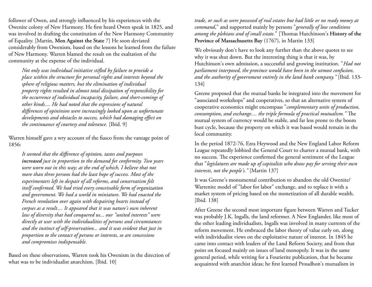follower of Owen, and strongly influenced by his experiences with the Owenite colony of New Harmony. He first heard Owen speak in 1825, and was involved in drafting the constitution of the New Harmony Community of Equality. [Martin, **Men Against the State** 7] He soon deviated considerably from Owenism, based on the lessons he learned from the failure of New Harmony. Warren blamed the result on the exaltation of the community at the expense of the individual.

*Not only was individual initiative stifled by failure to provide a place within the structure for personal rights and interests beyond the sphere of religious matters, but the elimination of individual property rights resulted in almost total dissipation of responsibility for the occurrence of individual incapacity, failure, and short-comings of other kinds.... He had noted that the expressions of natural differences of opininion were increasingly looked upon as unfortunate developments and obstacles to success, which had damaging effect on the continuance of courtesy and tolerance.* [Ibid. 9]

Warren himself gave a wry account of the fiasco from the vantage point of 1856:

*It seemed that the difference of opinion, tastes and purposes increased just in proportion to the demand for conformity. Two years were worn out in this way; at the end of which, I believe that not more than three persons had the least hope of success. Most of the experimenters left in despair of all reforms, and conservatism felt itself confirmed. We had tried every conceivable form of organization and government. We had a world in miniature. We had enacted the French revolution over again with despairing hearts instead of corpses as a result.... It appeared that it was nature's own inherent law of diversity that had conquered us... our "united interests" were directly at war with the individualities of persons and circumstances and the instinct of self-preservation... and it was evident that just in proportion to the contact of persons or interests, so are concessions and compromises indispensable.*

Based on these observations, Warren took his Owenism in the direction of what was to be individualist anarchism. [Ibid. 10]

*trade, or such as were possessed of real estates but had little or no ready money at command*," and supported mainly by persons "*generally of low conditions among the plebians and of small estate.*" [Thomas Hutchinson's **History of the Province of Massachusetts Bay** (1767), in Martin 133]

We obviously don't have to look any further than the above quotes to see why it was shut down. But the interesting thing is that it was, by Hutchinson's own admission, a successful and growing institution. "*Had not parliament interposed, the province would have been in the utmost confusion, and the authority of government entirely in the land bank company."* [Ibid. 133- 134]

Greene proposed that the mutual banks be integrated into the movement for "associated workshops" and cooperatives, so that an alternative system of cooperative economics might encompass "*complementary units of production, consumption, and exchange.... the triple formula of practical mutualism."* The mutual system of currency would be stable, and far less prone to the boom bust cycle, because the property on which it was based would remain in the local community.

In the period 1872-76, Ezra Heywood and the New England Labor Reform League repeatedly lobbied the General Court to charter a mutual bank, with no success. The experience confirmed the general sentiment of the League that "*legislatures are made up of capitalists who draw pay for serving their own interests, not the people's."* [Martin 137]

It was Greene's monumental contribution to abandon the old Owenite/ Warrenite model of "labor for labor" exchange, and to replace it with a market system of pricing based on the monetization of all durable wealth. [Ibid. 138]

After Greene the second most important figure between Warren and Tucker was probably J.K. Ingalls, the land reformer. A New Englander, like most of the other leading individualists, Ingalls was involved in many currents of the reform movement. He embraced the labor theory of value early on, along with individualist views on the exploitative nature of interest. In 1845 he came into contact with leaders of the Land Reform Society, and from that point on focused mainly on issues of land monopoly. It was in the same general period, while writing for a Fourierite publication, that he became acquainted with anarchist ideas; he first learned Proudhon's mutualism in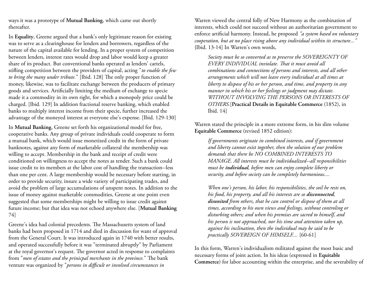ways it was a prototype of **Mutual Banking**, which came out shortly thereafter.

In **Equality**, Greene argued that a bank's only legitimate reason for existing was to serve as a clearinghouse for lenders and borrowers, regardless of the nature of the capital available for lending. In a proper system of competition between lenders, interest rates would drop and labor would keep a greater share of its product. But conventional banks operated as lenders' cartels, stifling competition between the providers of capital, acting "*to enable the few to bring the many under tribute.*" [Ibid. 128] The only proper function of money, likewise, was to facilitate exchange between the producers of primary goods and services. Artificially limiting the medium of exchange to specie made it a commodity in its own right, for which a monopoly price could be charged. [Ibid. 129] In addition fractional reserve banking, which enabled banks to multiply interest income from their specie, further increased the advantage of the moneyed interest at everyone else's expense. [Ibid. 129-130]

In **Mutual Banking**, Greene set forth his organizational model for free, cooperative banks. Any group of private individuals could cooperate to form a mutual bank, which would issue monetized credit in the form of private banknotes, against any form of marketable collateral the membership was willing to accept. Membership in the bank and receipt of credit were conditioned on willingness to accept the notes as tender. Such a bank could issue credit to its members at the labor cost of handling the transaction--less than one per cent. A large membership would be necessary before starting, in order to provide security, insure a wide variety of participating trades, and avoid the problem of large accumulations of unspent notes. In addition to the issue of money against marketable commodities, Greene at one point even suggested that some memberships might be willing to issue credit against future income; but that idea was not echoed anywhere else. [**Mutual Banking** 74]

Greene's idea had colonial precedents. The Massachusetts system of land banks had been proposed in 1714 and died in discussion for want of approval from the General Court. It was introduced again in 1740 with better results, and operated successfully before it was "terminated abruptly" by Parliament at the royal governor's request. The governor acted in response to complaints from "*men of estates and the prinicpal merchants in the province.*" The bank venture was organized by "*persons in difficult or involved circumstances in* 

Warren viewed the central folly of New Harmony as the combination of interests, which could not succeed without an authoritarian government to enforce artificial harmony. Instead, he proposed *"a system based on voluntary cooperation, but at no place rising above any individual within its structure..."* {Ibid. 13-14] In Warren's own words,

*Society must be so converted as to preserve the SOVEREIGNTY OF EVERY INDIVIDUAL inviolate. That it must avoid all combinations and connections of persons and interests, and all other arrangements which will not leave every individual at all times at liberty to dispose of his or her person, and time, and property in any manner in which his or her feelings or judgment may dictate. WITHOUT INVOLVING THE PERSONS OR INTERESTS OF OTHERS.*[**Practical Details in Equitable Commerce** (1852), in Ibid. 14]

Warren stated the principle in a more extreme form, in his slim volume **Equitable Commerce** (revised 1852 edition):

*If governments originate in combined interests, and if government and liberty cannot exist together, then the solution of our problem demands that there be NO COMBINED INTERESTS TO MANAGE. All interests must be individualized--all responsibilities must be individual, before men can enjoy complete liberty or security, and before society can be completely harmonious....*

*When one's person, his labor, his responsibilities, the soil he rests on, his food, his property, and all his interests are so disconnected, disunited from others, that he can control or dispose of them at all times, according to his own views and feelings, without controling or disturbing others; and when his premises are sacred to himself, and his person is not approached, nor his time and attention taken up, against his inclination, then the individual may be said to be practically SOVEREIGN OF HIMSELF....* [60-61]

In this form, Warren's individualism militated against the most basic and necessary forms of joint action. In his ideas (expressed in **Equitable Commerce**) for labor accounting within the enterprise, and the severability of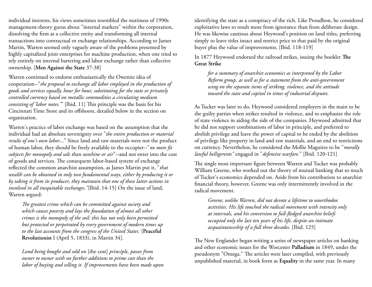individual interests, his views sometimes resembled the nuttiness of 1990s management-theory gurus about "internal markets" within the corporation, dissolving the firm as a collective entity and transforming all internal transactions into contractual or exchange relationships. According to James Martin, Warren seemed only vaguely aware of the problems presented by highly capitalized joint enterprises for machine production, when one tried to rely entirely on internal bartering and labor exchange rather than collective ownership. [**Men Against the State** 37-38]

Warren continued to endorse enthusiastically the Owenite idea of cooperation--"*the proposal to exchange all labor employed in the production of goods and services equally, hour for hour, substituting for the state or privately controlled currency based on metallic commodities a circulating medium consisting of 'labor notes.'*" [Ibid. 11] This principle was the basis for his Cincinnati Time Store and its offshoots, detailed below in the section on organization.

Warren's practice of labor exchange was based on the assumption that the individual had an absolute sovereignty over "*the entire production or material results of one's own labor*..." Since land and raw materials were not the product of human labor, they should be freely available to the occupier--"*no more fit subjects for monopoly and sale than sunshine or air*"--and not enter into the cost of goods and services. The consequent labor-based system of exchange reflected the common anarchist assumption, as James Martin put it, "*that wealth can be obtained in only two fundamental ways, either by producing it or by taking it from its producer, they maintain that one of these latter actions in involved in all inequitable exchanges."*{Ibid. 14-15] On the issue of land, Warren argued:

*The greatest crime which can be committed against society and which causes poverty and lays the foundation of almost all other crimes is the monopoly of the soil: this has not only been permitted but protected or perpetrated by every government of modern times up to the last accounts from the congress of the United States.* [**Peaceful Revolutionist** I (April 5, 1833), in Martin 34].

*Land being bought and sold on* [the cost] *principle, passes from owner to owner with no further additions to prime cost than the labor of buying and selling it. If improvements have been made upon*

identifying the state as a conspiracy of the rich. Like Proudhon, he considered exploitative laws to result more from ignorance than from deliberate design. He was likewise cautious about Heywood's position on land titles, preferring simply to leave titles intact and restrict price to that paid by the original buyer plus the value of improvements. [Ibid. 118-119]

In 1877 Heywood endorsed the railroad strikes, issuing the booklet **The Great Strike**

*for a summary of anarchist economics as interpreted by the Labor Reform group, as well as for a statement from the anti-government wing on the separate items of striking, violence, and the attitude toward the state and capital in times of industrial disputes.*

As Tucker was later to do, Heywood considered employers in the main to be the guilty parties when strikes resulted in violence, and to emphasize the role of state violence in aiding the side of the companies. Heywood admitted that he did not support combinations of labor in principle, and preferred to abolish privilege and leave the power of capital to be ended by the abolition of privilege like property in land and raw materials, and an end to restrictions on currency. Nevertheless, he considered the Mollie Maguires to be "*morally lawful belligerents"* engaged in "*defensive warfare.*" [Ibid. 120-121]

The single most important figure between Warren and Tucker was probably William Greene, who worked out the theory of mutual banking that so much of Tucker's economics depended on. Aside from his contribution to anarchist financial theory, however, Greene was only intermittently involved in the radical movement.

*Greene, unlike Warren, did not devote a lifetime to unorthodox activities. His life touched the radical movement with intensity only at intervals, and his conversion to full-fledged anarchist beliefs occupied only the last ten years of his life, despite an intimate acquaintanceship of a full three decades.* [Ibid. 125]

The New Englander began writing a series of newspaper articles on banking and other economic issues for the Worcester **Palladium** in 1849, under the pseudonym "Omega." The articles were later compiled, with previously unpublished material, in book form as **Equality** in the same year. In many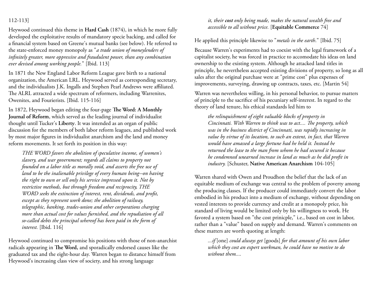## 112-113]

Heywood continued this theme in **Hard Cash** (1874), in which he more fully developed the exploitative results of mandatory specie backing, and called for a financial system based on Greene's mutual banks (see below). He referred to the state-enforced money monopoly as "*a trade union of moneylenders of infinitely greater, more oppressive and fraudulent power, than any combination ever devised among working people.*" [Ibid. 113]

In 1871 the New England Labor Reform League gave birth to a national organization, the American LRL. Heywood served as corresponding secretary, and the individualists J.K. Ingalls and Stephen Pearl Andrews were affiliated. The ALRL attracted a wide spectrum of reformers, including Warrenites, Owenites, and Fourierists. [Ibid. 115-116]

In 1872, Heywood began editing the four-page **The Word: A Monthly Journal of Reform**, which served as the leading journal of individualist thought until Tucker's **Liberty**. It was intended as an organ of public discussion for the members of both labor reform leagues, and published work by most major figures in individualist anarchism and the land and money reform movements. It set forth its position in this way:

*THE WORD favors the abolition of speculative income, of women's slavery, and war government; regards all claims to property not founded on a labor title as morally void, and asserts the free use of land to be the inalienable privilege of every human being--on having the right to own or sell only his service impressed upon it. Not by restrictive methods, but through freedom and reciprocity, THE WORD seeks the extinction of interest, rent, dividends, and profit, except as they represent work done; the abolition of railway, telegraphic, banking, trades-union and other corporations charging more than actual cost for values furnished, and the repudiation of all so-called debts the principal whereof has been paid in the form of interest.* [Ibid. 116]

Heywood continued to compromise his positions with those of non-anarchist radicals appearing in **The Word,** and sporadically endorsed causes like the graduated tax and the eight-hour day. Warren began to distance himself from Heywood's increasing class view of society, and his strong language

## *it, their cost only being made, makes the natural wealth free and accessible to all without price.* [**Equitable Commerce** 74]

He applied this principle likewise to "*metals in the earth*." [Ibid. 75]

Because Warren's experiments had to coexist with the legal framework of a capitalist society, he was forced in practice to accomodate his ideas on land ownership to the existing system. Although he attacked land titles in principle, he nevertheless accepted existing divisions of property, so long as all sales after the original purchase were at "prime cost" plus expenses of improvements, surveying, drawing up contracts, taxes, etc. [Martin 54]

Warren was nevertheless willing, in his personal behavior, to pursue matters of principle to the sacrifice of his pecuniary self-interest. In regard to the theory of land tenure, his ethical standards led him to

*the relinquishment of eight valuable blocks of property in Cincinnati. With Warren to think was to act.... The property, which was in the business district of Cincinnati, was rapidly increasing in value by virtue of its location, to such an extent, in fact, that Warren would have amassed a large fortune had he held it. Instead he returned the lease to the man from whom he had secured it because he condemned unearned increase in land as much as he did profit in industry.* [Schuster, **Native American Anarchism** 104-105]

Warren shared with Owen and Proudhon the belief that the lack of an equitable medium of exchange was central to the problem of poverty among the producing classes. If the producer could immediately convert the labor embodied in his product into a medium of exchange, without depending on vested interests to provide currency and credit at a monopoly price, his standard of living would be limited only by his willingness to work. He favored a system based on "the cost prinicple," i.e., based on cost in labor, rather than a "value" based on supply and demand. Warren's comments on these matters are worth quoting at length:

*...if* [one] *could always get* [goods] *for that amount of his own labor which they cost an expert workman, he could have no motive to do without them....*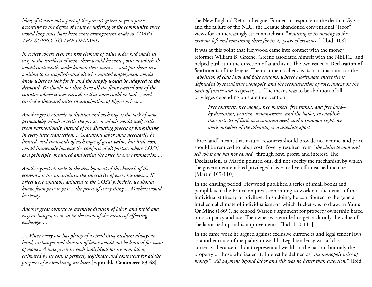*Now, if it were not a part of the present system to get a price according to the degree of want or suffering of the community, there would long since have been some arrangement made to ADAPT THE SUPPLY TO THE DEMAND....*

*In society where even the first element of value order had made its way to the intellects of men, there would be some point at which all would continually make known their wants, ...and put them in a position to be supplied--and all who wanted employment would know where to look for it, and the supply would be adapted to the demand. We should not then have all the flour carried out of the country where it was raised, so that none could be had..., and carried a thousand miles in anticipation of higher prices....*

*Another great obstacle to division and exchange is the lack of some principleby which to settle the prices, or which would itself settle them harmoniously, instead of the disgusting process of bargaining in every little transaction.... Gratuitous labor must necessarily be limited, and thousands of exchanges of great value, but little cost, would immensely increase the comforts of all parties, where COST, as a principle, measured and settled the price in every transaction....*

*Another great obstacle to the development of this branch of the economy, is the uncertainty, the insecurity of every business.... If prices were equitably adjusted to the COST principle, we should know, from year to year... the prices of every thing.... Markets would be steady....*

*Another great obstacle to extensive division of labor, and rapid and easy exchanges, seems to be the want of the means of effecting exchanges....*

*....Where every one has plenty of a circulating medium always at hand, exchanges and division of labor would not be limited for want of money. A note given by each individual for his own labor, estimated by its cost, is perfectly legitimate and competent for all the purposes of a circulating medium.*[**Equitable Commerce** 63-68]

the New England Reform League. Formed in response to the death of Sylvis and the failure of the NLU, the League abandoned conventional "labor" views for an increasingly strict anarchism, "*resulting in its moving to the extreme left and remaining there for its 25 years of existence*." [Ibid. 108]

It was at this point that Heywood came into contact with the money reformer William B. Greene. Greene associated himself with the NELRL, and helped push it in the direction of anarchism. The two issued a **Declaration of Sentiments** of the league. The document called, as its principal aim, for the "*abolition of class laws and false customs, whereby legitimate enterprise is defrauded by speculative monopoly, and the reconstruction of government on the basis of justice and reciprocity...."* The means was to be abolition of all privileges depending on state intervention:

*Free contracts, free money, free markets, free transit, and free land- by discussion, petition, remonstrance, and the ballot, to establish these articles of faith as a common need, and a common right, we avail ourselves of the advantages of associate effort.*

"Free land" meant that natural resources should provide no income, and price should be reduced to labor cost. Poverty resulted from "*the claim to own and sell what one has not earned*" through rent, profit, and interest. The **Declaration**, as Martin pointed out, did not specify the mechanism by which the government enabled privileged classes to live off unearned income. [Martin 109-110]

In the ensuing period, Heywood published a series of small books and pamphlets in the Princeton press, continuing to work out the details of the individualist theory of privilege. In so doing, he contributed to the general intellectual climate of individualism, on which Tucker was to draw. In **Yours Or Mine** (1869), he echoed Warren's argument for property ownership based on occupancy and use. The owner was entitled to get back only the value of the labor tied up in his improvements. [Ibid. 110-111]

In the same work he argued against exclusive currencies and legal tender laws as another cause of inequality in wealth. Legal tendency was a "class currency" because it didn't represent all wealth in the nation, but only the property of those who issued it. Interest he defined as "*the monopoly price of money.*" "*All payment beyond labor and risk was no better than extortion.*" [Ibid.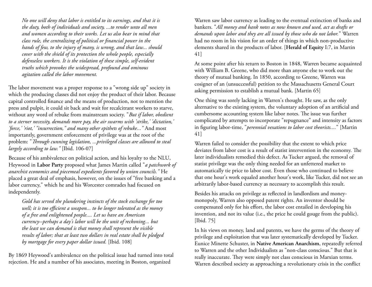*No one will deny that labor is entitled to its earnings, and that it is the duty, both of individuals and society, ...to render unto all men and women according to their works. Let us also bear in mind that class rule, the centralizing of political or financial power in the hands of few, to the injury of many, is wrong, and that law... should cover with the shield of its protection the whole people, especially defenseless workers. It is the violation of these simple, self-evident truths which provokes the widespread, profound and ominous agitation called the labor movement.*

The labor movement was a proper response to a "wrong side up" society in which the producing classes did not enjoy the product of their labor. Because capital controlled finance and the means of production, not to mention the press and pulpit, it could sit back and wait for recalcitrant workers to starve, without any word of rebuke from mainstream society. "*But if labor, obedient to a sterner necessity, demands more pay, the air swarms with 'strike,' 'dictation,' 'force,' 'riot,' "insurrection," and many other epithets of rebuke..."* And most importantly, government enforcement of privilege was at the root of the problem: "*Through cunning legislation, ...privileged classes are allowed to steal largely according to law."* [Ibid. 106-07]

Because of his ambivalence on political action, and his loyalty to the NLU, Heywood in **Labor Party** proposed what James Martin called "*a patchwork of anarchist economics and piecemeal expedients favored by union councils."* He placed a great deal of emphasis, however, on the issues of "free banking and a labor currency," which he and his Worcester comrades had focused on independently.

*Gold has served the plundering instincts of the stock exchange for too well; it is too efficient a weapon... to be longer tolerated as the money of a free and enlightened people.... Let us have an American currency--perhaps a day's labor will be the unit of reckoning... but the least we can demand is that money shall represent the visible results of labor; that at least two dollars in real estate shall be pledged by mortgage for every paper dollar issued.* [Ibid. 108]

By 1869 Heywood's ambivalence on the political issue had turned into total rejection. He and a number of his associates, meeting in Boston, organized

Warren saw labor currency as leading to the eventual extinction of banks and bankers. "*All money and bank notes as now known and used, act as drafts or demands upon labor and they are all issued by those who do not labor.*" Warren had no room in his vision for an order of things in which non-productive elements shared in the products of labor. [**Herald of Equity** I:7, in Martin 41]

At some point after his return to Boston in 1848, Warren became acquainted with William B. Greene, who did more than anyone else to work out the theory of mutual banking. In 1850, according to Greene, Warren was cosigner of an (unsuccessful) petition to the Massachusetts General Court asking permission to establish a mutual bank. [Martin 65]

One thing was sorely lacking in Warren's thought. He saw, as the only alternative to the existing system, the voluntary adoption of an artificial and cumbersome accounting system like labor notes. The issue was further complicated by attempts to incorporate "repugnance" and intensity as factors in figuring labor-time, "*perennial vexations to labor cost theorists....*" [Martin 41]

Warren failed to consider the possibility that the extent to which price deviates from labor cost is a result of statist intervention in the economy. The later individualists remedied this defect. As Tucker argued, the removal of statist privilege was the only thing needed for an unfettered market to automatically tie price to labor cost. Even those who continued to believe that one hour's work equaled another hour's work, like Tucker, did not see an arbitrarily labor-based currency as necessary to accomplish this result.

Besides his attacks on privilege as reflected in landlordism and moneymonopoly, Warren also opposed patent rights. An inventor should be compensated only for his effort, the labor cost entailed in developing his invention, and not its value (i.e., the price he could gouge from the public). [Ibid. 75]

In his views on money, land and patents, we have the germs of the theory of privilege and exploitation that was later systematically developed by Tucker. Eunice Minette Schuster, in **Native American Anarchism**, repeatedly referred to Warren and the other Individualists as "non-class conscious." But that is really inaccurate. They were simply not class conscious in Marxian terms. Warren described society as approaching a revolutionary crisis in the conflict